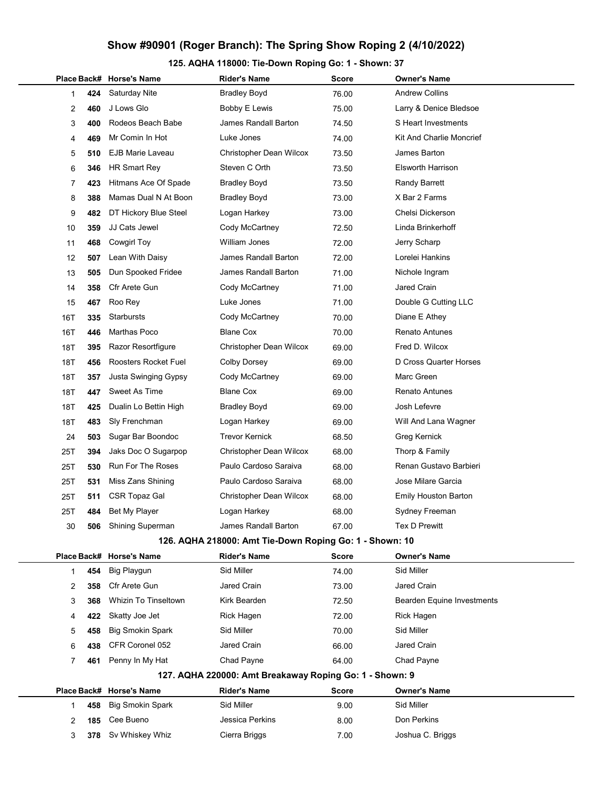125. AQHA 118000: Tie-Down Roping Go: 1 - Shown: 37

|     |     | Place Back# Horse's Name  | Rider's Name                                            | <b>Score</b> | <b>Owner's Name</b>             |  |
|-----|-----|---------------------------|---------------------------------------------------------|--------------|---------------------------------|--|
| 1   | 424 | <b>Saturday Nite</b>      | <b>Bradley Boyd</b>                                     | 76.00        | <b>Andrew Collins</b>           |  |
| 2   | 460 | J Lows Glo                | <b>Bobby E Lewis</b>                                    | 75.00        | Larry & Denice Bledsoe          |  |
| 3   | 400 | Rodeos Beach Babe         | James Randall Barton                                    | 74.50        | S Heart Investments             |  |
| 4   | 469 | Mr Comin In Hot           | Luke Jones                                              | 74.00        | <b>Kit And Charlie Moncrief</b> |  |
| 5   | 510 | EJB Marie Laveau          | Christopher Dean Wilcox                                 | 73.50        | James Barton                    |  |
| 6   | 346 | HR Smart Rey              | Steven C Orth                                           | 73.50        | <b>Elsworth Harrison</b>        |  |
| 7   | 423 | Hitmans Ace Of Spade      | <b>Bradley Boyd</b>                                     | 73.50        | <b>Randy Barrett</b>            |  |
| 8   | 388 | Mamas Dual N At Boon      | Bradley Boyd                                            | 73.00        | X Bar 2 Farms                   |  |
| 9   | 482 | DT Hickory Blue Steel     | Logan Harkey                                            | 73.00        | Chelsi Dickerson                |  |
| 10  | 359 | JJ Cats Jewel             | Cody McCartney                                          | 72.50        | Linda Brinkerhoff               |  |
| 11  | 468 | Cowgirl Toy               | William Jones                                           | 72.00        | Jerry Scharp                    |  |
| 12  | 507 | Lean With Daisy           | James Randall Barton                                    | 72.00        | Lorelei Hankins                 |  |
| 13  | 505 | Dun Spooked Fridee        | James Randall Barton                                    | 71.00        | Nichole Ingram                  |  |
| 14  | 358 | Cfr Arete Gun             | Cody McCartney                                          | 71.00        | Jared Crain                     |  |
| 15  | 467 | Roo Rey                   | Luke Jones                                              | 71.00        | Double G Cutting LLC            |  |
| 16T | 335 | Starbursts                | Cody McCartney                                          | 70.00        | Diane E Athey                   |  |
| 16T | 446 | Marthas Poco              | <b>Blane Cox</b>                                        | 70.00        | Renato Antunes                  |  |
| 18T | 395 | <b>Razor Resortfiqure</b> | Christopher Dean Wilcox                                 | 69.00        | Fred D. Wilcox                  |  |
| 18T | 456 | Roosters Rocket Fuel      | <b>Colby Dorsey</b>                                     | 69.00        | D Cross Quarter Horses          |  |
| 18T | 357 | Justa Swinging Gypsy      | Cody McCartney                                          | 69.00        | Marc Green                      |  |
| 18T | 447 | Sweet As Time             | <b>Blane Cox</b>                                        | 69.00        | <b>Renato Antunes</b>           |  |
| 18T | 425 | Dualin Lo Bettin High     | <b>Bradley Boyd</b>                                     | 69.00        | Josh Lefevre                    |  |
| 18T | 483 | Sly Frenchman             | Logan Harkey                                            | 69.00        | Will And Lana Wagner            |  |
| 24  | 503 | Sugar Bar Boondoc         | <b>Trevor Kernick</b>                                   | 68.50        | Greg Kernick                    |  |
| 25T | 394 | Jaks Doc O Sugarpop       | Christopher Dean Wilcox                                 | 68.00        | Thorp & Family                  |  |
| 25T | 530 | Run For The Roses         | Paulo Cardoso Saraiva                                   | 68.00        | Renan Gustavo Barbieri          |  |
| 25T | 531 | Miss Zans Shining         | Paulo Cardoso Saraiva                                   | 68.00        | Jose Milare Garcia              |  |
| 25T | 511 | CSR Topaz Gal             | Christopher Dean Wilcox                                 | 68.00        | <b>Emily Houston Barton</b>     |  |
| 25T | 484 | Bet My Player             | Logan Harkey                                            | 68.00        | Sydney Freeman                  |  |
| 30  | 506 | Shining Superman          | James Randall Barton                                    | 67.00        | <b>Tex D Prewitt</b>            |  |
|     |     |                           | 126. AQHA 218000: Amt Tie-Down Roping Go: 1 - Shown: 10 |              |                                 |  |
|     |     | Place Back# Horse's Name  | <b>Rider's Name</b>                                     | <b>Score</b> | <b>Owner's Name</b>             |  |
| 1   | 454 | Big Playgun               | Sid Miller                                              | 74.00        | Sid Miller                      |  |
| 2   | 358 | Cfr Arete Gun             | <b>Jared Crain</b>                                      | 73.00        | Jared Crain                     |  |
| 3   | 368 | Whizin To Tinseltown      | Kirk Bearden                                            | 72.50        | Bearden Equine Investments      |  |
| 4   | 422 | Skatty Joe Jet            | Rick Hagen                                              | 72.00        | Rick Hagen                      |  |
| 5   | 458 | <b>Big Smokin Spark</b>   | Sid Miller                                              | 70.00        | Sid Miller                      |  |
| 6   | 438 | CFR Coronel 052           | Jared Crain                                             | 66.00        | Jared Crain                     |  |
| 7   | 461 | Penny In My Hat           | Chad Payne                                              | 64.00        | Chad Payne                      |  |
|     |     |                           | 127. AQHA 220000: Amt Breakaway Roping Go: 1 - Shown: 9 |              |                                 |  |
|     |     | Place Back# Horse's Name  | <b>Rider's Name</b>                                     | Score        | <b>Owner's Name</b>             |  |
| 1   | 458 | <b>Big Smokin Spark</b>   | Sid Miller                                              | 9.00         | Sid Miller                      |  |
| 2   | 185 | Cee Bueno                 | Jessica Perkins                                         | 8.00         | Don Perkins                     |  |
| 3   | 378 | Sv Whiskey Whiz           | Cierra Briggs                                           | 7.00         | Joshua C. Briggs                |  |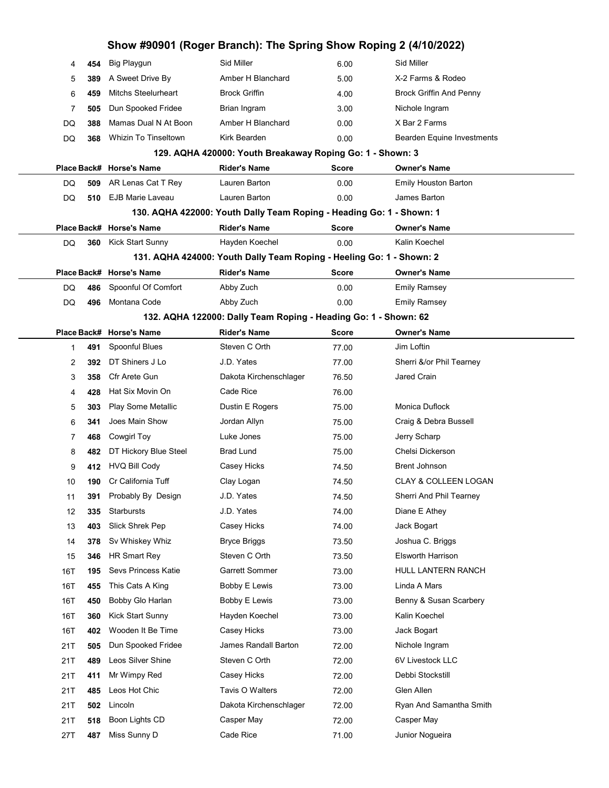| Show #90901 (Roger Branch): The Spring Show Roping 2 (4/10/2022) |     |                                                           |                                                                      |              |                                 |  |
|------------------------------------------------------------------|-----|-----------------------------------------------------------|----------------------------------------------------------------------|--------------|---------------------------------|--|
| 4                                                                | 454 | Big Playgun                                               | <b>Sid Miller</b>                                                    | 6.00         | Sid Miller                      |  |
| 5                                                                | 389 | A Sweet Drive By                                          | Amber H Blanchard                                                    | 5.00         | X-2 Farms & Rodeo               |  |
| 6                                                                | 459 | <b>Mitchs Steelurheart</b>                                | <b>Brock Griffin</b>                                                 | 4.00         | <b>Brock Griffin And Penny</b>  |  |
| 7                                                                | 505 | Dun Spooked Fridee                                        | Brian Ingram                                                         | 3.00         | Nichole Ingram                  |  |
| DQ                                                               | 388 | Mamas Dual N At Boon                                      | Amber H Blanchard                                                    | 0.00         | X Bar 2 Farms                   |  |
| DQ                                                               | 368 | <b>Whizin To Tinseltown</b>                               | Kirk Bearden                                                         | 0.00         | Bearden Equine Investments      |  |
|                                                                  |     | 129. AQHA 420000: Youth Breakaway Roping Go: 1 - Shown: 3 |                                                                      |              |                                 |  |
|                                                                  |     | Place Back# Horse's Name                                  | <b>Rider's Name</b>                                                  | <b>Score</b> | <b>Owner's Name</b>             |  |
| DQ                                                               | 509 | AR Lenas Cat T Rey                                        | Lauren Barton                                                        | 0.00         | <b>Emily Houston Barton</b>     |  |
| DQ                                                               | 510 | <b>EJB Marie Laveau</b>                                   | Lauren Barton                                                        | 0.00         | James Barton                    |  |
|                                                                  |     |                                                           | 130. AQHA 422000: Youth Dally Team Roping - Heading Go: 1 - Shown: 1 |              |                                 |  |
|                                                                  |     | Place Back# Horse's Name                                  | Rider's Name                                                         | <b>Score</b> | <b>Owner's Name</b>             |  |
| DQ                                                               | 360 | Kick Start Sunny                                          | Hayden Koechel                                                       | 0.00         | Kalin Koechel                   |  |
|                                                                  |     |                                                           | 131. AQHA 424000: Youth Dally Team Roping - Heeling Go: 1 - Shown: 2 |              |                                 |  |
|                                                                  |     | Place Back# Horse's Name                                  | <b>Rider's Name</b>                                                  | <b>Score</b> | <b>Owner's Name</b>             |  |
| DQ                                                               | 486 | Spoonful Of Comfort                                       | Abby Zuch                                                            | 0.00         | <b>Emily Ramsey</b>             |  |
| DQ                                                               | 496 | Montana Code                                              | Abby Zuch                                                            | 0.00         | <b>Emily Ramsey</b>             |  |
|                                                                  |     |                                                           | 132. AQHA 122000: Dally Team Roping - Heading Go: 1 - Shown: 62      |              |                                 |  |
|                                                                  |     | Place Back# Horse's Name                                  | <b>Rider's Name</b>                                                  | <b>Score</b> | <b>Owner's Name</b>             |  |
| 1                                                                | 491 | Spoonful Blues                                            | Steven C Orth                                                        | 77.00        | Jim Loftin                      |  |
| 2                                                                | 392 | DT Shiners J Lo                                           | J.D. Yates                                                           | 77.00        | Sherri &/or Phil Tearney        |  |
| 3                                                                | 358 | Cfr Arete Gun                                             | Dakota Kirchenschlager                                               | 76.50        | Jared Crain                     |  |
| 4                                                                | 428 | Hat Six Movin On                                          | Cade Rice                                                            | 76.00        |                                 |  |
| 5                                                                | 303 | Play Some Metallic                                        | Dustin E Rogers                                                      | 75.00        | Monica Duflock                  |  |
| 6                                                                | 341 | Joes Main Show                                            | Jordan Allyn                                                         | 75.00        | Craig & Debra Bussell           |  |
| 7                                                                | 468 | Cowgirl Toy                                               | Luke Jones                                                           | 75.00        | Jerry Scharp                    |  |
| 8                                                                | 482 | DT Hickory Blue Steel                                     | <b>Brad Lund</b>                                                     | 75.00        | Chelsi Dickerson                |  |
| 9                                                                | 412 | <b>HVQ Bill Cody</b>                                      | Casey Hicks                                                          | 74.50        | <b>Brent Johnson</b>            |  |
| 10                                                               | 190 | Cr California Tuff                                        | Clay Logan                                                           | 74.50        | <b>CLAY &amp; COLLEEN LOGAN</b> |  |
| 11                                                               | 391 | Probably By Design                                        | J.D. Yates                                                           | 74.50        | Sherri And Phil Tearney         |  |
| 12                                                               | 335 | Starbursts                                                | J.D. Yates                                                           | 74.00        | Diane E Athey                   |  |
| 13                                                               | 403 | Slick Shrek Pep                                           | Casey Hicks                                                          | 74.00        | Jack Bogart                     |  |
| 14                                                               | 378 | Sv Whiskey Whiz                                           | <b>Bryce Briggs</b>                                                  | 73.50        | Joshua C. Briggs                |  |
| 15                                                               | 346 | HR Smart Rey                                              | Steven C Orth                                                        | 73.50        | Elsworth Harrison               |  |
| 16T                                                              | 195 | Sevs Princess Katie                                       | <b>Garrett Sommer</b>                                                | 73.00        | HULL LANTERN RANCH              |  |
| 16T                                                              | 455 | This Cats A King                                          | Bobby E Lewis                                                        | 73.00        | Linda A Mars                    |  |
| 16T                                                              | 450 | Bobby Glo Harlan                                          | Bobby E Lewis                                                        | 73.00        | Benny & Susan Scarbery          |  |
| 16T                                                              | 360 | Kick Start Sunny                                          | Hayden Koechel                                                       | 73.00        | Kalin Koechel                   |  |
| 16T                                                              | 402 | Wooden It Be Time                                         | Casey Hicks                                                          | 73.00        | Jack Bogart                     |  |
| 21T                                                              | 505 | Dun Spooked Fridee                                        | James Randall Barton                                                 | 72.00        | Nichole Ingram                  |  |
| 21T                                                              | 489 | Leos Silver Shine                                         | Steven C Orth                                                        | 72.00        | 6V Livestock LLC                |  |
| 21T                                                              | 411 | Mr Wimpy Red                                              | Casey Hicks                                                          | 72.00        | Debbi Stockstill                |  |
| 21T                                                              | 485 | Leos Hot Chic                                             | Tavis O Walters                                                      | 72.00        | Glen Allen                      |  |
| 21T                                                              | 502 | Lincoln                                                   | Dakota Kirchenschlager                                               | 72.00        | Ryan And Samantha Smith         |  |
| 21T                                                              | 518 | Boon Lights CD                                            | Casper May                                                           | 72.00        | Casper May                      |  |
| 27T                                                              | 487 | Miss Sunny D                                              | Cade Rice                                                            | 71.00        | Junior Nogueira                 |  |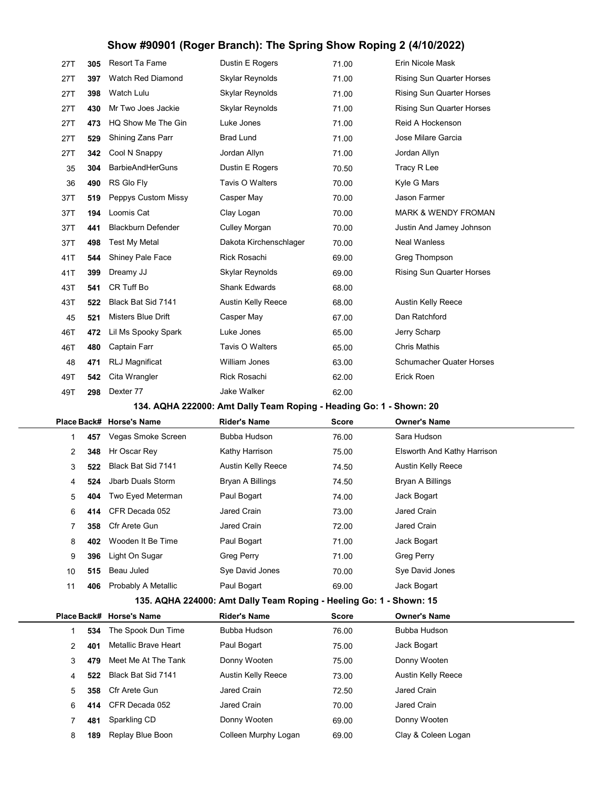| 27T         | 305 | Resort Ta Fame            | Dustin E Rogers                                                     | 71.00        | Erin Nicole Mask                 |
|-------------|-----|---------------------------|---------------------------------------------------------------------|--------------|----------------------------------|
| 27T         | 397 | Watch Red Diamond         | Skylar Reynolds                                                     | 71.00        | <b>Rising Sun Quarter Horses</b> |
| 27T         | 398 | Watch Lulu                | Skylar Reynolds                                                     | 71.00        | Rising Sun Quarter Horses        |
| 27T         | 430 | Mr Two Joes Jackie        | Skylar Reynolds                                                     | 71.00        | <b>Rising Sun Quarter Horses</b> |
| 27T         | 473 | HQ Show Me The Gin        | Luke Jones                                                          | 71.00        | Reid A Hockenson                 |
| 27T         | 529 | Shining Zans Parr         | <b>Brad Lund</b>                                                    | 71.00        | Jose Milare Garcia               |
| 27T         | 342 | Cool N Snappy             | Jordan Allyn                                                        | 71.00        | Jordan Allyn                     |
| 35          | 304 | <b>BarbieAndHerGuns</b>   | Dustin E Rogers                                                     | 70.50        | Tracy R Lee                      |
| 36          | 490 | RS Glo Fly                | Tavis O Walters                                                     | 70.00        | Kyle G Mars                      |
| 37T         | 519 | Peppys Custom Missy       | Casper May                                                          | 70.00        | Jason Farmer                     |
| 37T         | 194 | Loomis Cat                | Clay Logan                                                          | 70.00        | <b>MARK &amp; WENDY FROMAN</b>   |
| 37T         | 441 | <b>Blackburn Defender</b> | Culley Morgan                                                       | 70.00        | Justin And Jamey Johnson         |
| 37T         | 498 | <b>Test My Metal</b>      | Dakota Kirchenschlager                                              | 70.00        | <b>Neal Wanless</b>              |
| 41T         | 544 | Shiney Pale Face          | Rick Rosachi                                                        | 69.00        | Greg Thompson                    |
| 41T         | 399 | Dreamy JJ                 | Skylar Reynolds                                                     | 69.00        | <b>Rising Sun Quarter Horses</b> |
| 43T         | 541 | CR Tuff Bo                | <b>Shank Edwards</b>                                                | 68.00        |                                  |
| 43T         | 522 | Black Bat Sid 7141        | <b>Austin Kelly Reece</b>                                           | 68.00        | <b>Austin Kelly Reece</b>        |
| 45          | 521 | Misters Blue Drift        | Casper May                                                          | 67.00        | Dan Ratchford                    |
| 46T         | 472 | Lil Ms Spooky Spark       | Luke Jones                                                          | 65.00        | Jerry Scharp                     |
| 46T         | 480 | Captain Farr              | Tavis O Walters                                                     | 65.00        | <b>Chris Mathis</b>              |
| 48          | 471 | RLJ Magnificat            | William Jones                                                       | 63.00        | <b>Schumacher Quater Horses</b>  |
| 49T         | 542 | Cita Wrangler             | <b>Rick Rosachi</b>                                                 | 62.00        | Erick Roen                       |
| 49T         | 298 | Dexter 77                 | Jake Walker                                                         | 62.00        |                                  |
|             |     |                           | 134. AQHA 222000: Amt Dally Team Roping - Heading Go: 1 - Shown: 20 |              |                                  |
| Place Back# |     | <b>Horse's Name</b>       | <b>Rider's Name</b>                                                 | <b>Score</b> | <b>Owner's Name</b>              |
| 1           | 457 | Vegas Smoke Screen        | Bubba Hudson                                                        | 76.00        | Sara Hudson                      |
| 2           | 348 | Hr Oscar Rey              | Kathy Harrison                                                      | 75.00        | Elsworth And Kathy Harrison      |
| 3           | 522 | Black Bat Sid 7141        | <b>Austin Kelly Reece</b>                                           | 74.50        | <b>Austin Kelly Reece</b>        |
| 4           | 524 | Jbarb Duals Storm         | Bryan A Billings                                                    | 74.50        | Bryan A Billings                 |
|             |     |                           |                                                                     |              |                                  |

|                                                                  |     | Place Back# Horse's Name | <b>Rider's Name</b> | <b>Score</b> | <b>Owner's Name</b>         |  |  |
|------------------------------------------------------------------|-----|--------------------------|---------------------|--------------|-----------------------------|--|--|
|                                                                  | 457 | Vegas Smoke Screen       | Bubba Hudson        | 76.00        | Sara Hudson                 |  |  |
| $\overline{2}$                                                   | 348 | Hr Oscar Rey             | Kathy Harrison      | 75.00        | Elsworth And Kathy Harrison |  |  |
| 3                                                                | 522 | Black Bat Sid 7141       | Austin Kelly Reece  | 74.50        | Austin Kelly Reece          |  |  |
| 4                                                                | 524 | Jbarb Duals Storm        | Bryan A Billings    | 74.50        | Bryan A Billings            |  |  |
| 5                                                                | 404 | Two Eyed Meterman        | Paul Bogart         | 74.00        | Jack Bogart                 |  |  |
| 6                                                                | 414 | CFR Decada 052           | Jared Crain         | 73.00        | Jared Crain                 |  |  |
| 7                                                                | 358 | Cfr Arete Gun            | Jared Crain         | 72.00        | Jared Crain                 |  |  |
| 8                                                                | 402 | Wooden It Be Time        | Paul Bogart         | 71.00        | Jack Bogart                 |  |  |
| 9                                                                | 396 | Light On Sugar           | <b>Greg Perry</b>   | 71.00        | <b>Greg Perry</b>           |  |  |
| 10                                                               | 515 | Beau Juled               | Sye David Jones     | 70.00        | Sye David Jones             |  |  |
| 11                                                               | 406 | Probably A Metallic      | Paul Bogart         | 69.00        | Jack Bogart                 |  |  |
| 135 AOUA 224000: Amt Dally Toam Poping Hooling Co: 1<br>Chown 15 |     |                          |                     |              |                             |  |  |

#### 135. AQHA 224000: Amt Dally Team Roping - Heeling Go: 1 - Shown: 15

|    |     | Place Back# Horse's Name | <b>Rider's Name</b>  | <b>Score</b> | <b>Owner's Name</b> |
|----|-----|--------------------------|----------------------|--------------|---------------------|
|    | 534 | The Spook Dun Time       | Bubba Hudson         | 76.00        | Bubba Hudson        |
| 2  | 401 | Metallic Brave Heart     | Paul Bogart          | 75.00        | Jack Bogart         |
| 3  | 479 | Meet Me At The Tank      | Donny Wooten         | 75.00        | Donny Wooten        |
| 4  | 522 | Black Bat Sid 7141       | Austin Kelly Reece   | 73.00        | Austin Kelly Reece  |
| 5. | 358 | Cfr Arete Gun            | Jared Crain          | 72.50        | Jared Crain         |
| 6  | 414 | CFR Decada 052           | Jared Crain          | 70.00        | Jared Crain         |
|    | 481 | Sparkling CD             | Donny Wooten         | 69.00        | Donny Wooten        |
| 8  | 189 | Replay Blue Boon         | Colleen Murphy Logan | 69.00        | Clay & Coleen Logan |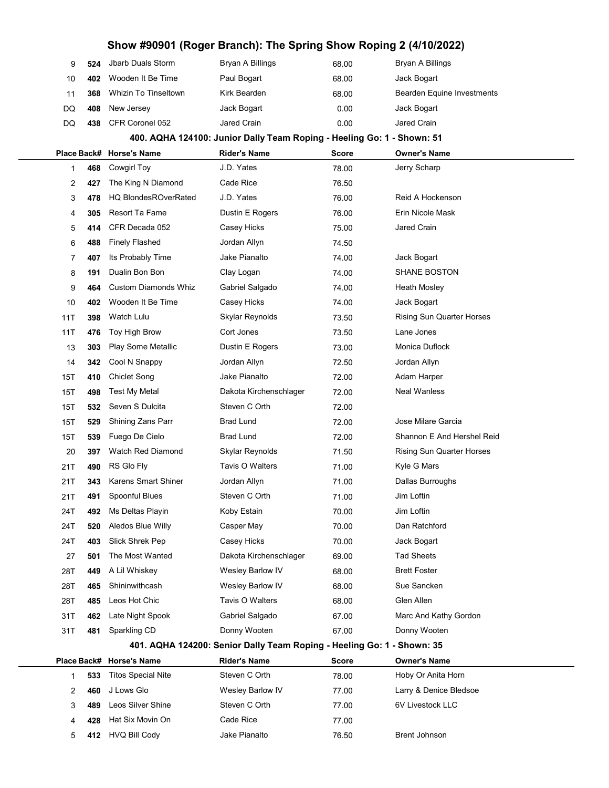| 9            | 524 | <b>Jbarb Duals Storm</b>    | Bryan A Billings                                                       | 68.00        | Bryan A Billings                 |
|--------------|-----|-----------------------------|------------------------------------------------------------------------|--------------|----------------------------------|
| 10           | 402 | Wooden It Be Time           | Paul Bogart                                                            | 68.00        | Jack Bogart                      |
| 11           | 368 | <b>Whizin To Tinseltown</b> | Kirk Bearden                                                           | 68.00        | Bearden Equine Investments       |
| DQ           | 408 | New Jersey                  | Jack Bogart                                                            | 0.00         | Jack Bogart                      |
| DQ           | 438 | CFR Coronel 052             | Jared Crain                                                            | 0.00         | Jared Crain                      |
|              |     |                             | 400. AQHA 124100: Junior Dally Team Roping - Heeling Go: 1 - Shown: 51 |              |                                  |
| Place Back#  |     | <b>Horse's Name</b>         | <b>Rider's Name</b>                                                    | <b>Score</b> | <b>Owner's Name</b>              |
| $\mathbf{1}$ | 468 | Cowgirl Toy                 | J.D. Yates                                                             | 78.00        | Jerry Scharp                     |
| 2            | 427 | The King N Diamond          | Cade Rice                                                              | 76.50        |                                  |
| 3            | 478 | <b>HQ BlondesROverRated</b> | J.D. Yates                                                             | 76.00        | Reid A Hockenson                 |
| 4            | 305 | Resort Ta Fame              | Dustin E Rogers                                                        | 76.00        | Erin Nicole Mask                 |
| 5            | 414 | CFR Decada 052              | Casey Hicks                                                            | 75.00        | Jared Crain                      |
| 6            | 488 | <b>Finely Flashed</b>       | Jordan Allyn                                                           | 74.50        |                                  |
| 7            | 407 | Its Probably Time           | Jake Pianalto                                                          | 74.00        | Jack Bogart                      |
| 8            | 191 | Dualin Bon Bon              | Clay Logan                                                             | 74.00        | <b>SHANE BOSTON</b>              |
| 9            | 464 | <b>Custom Diamonds Whiz</b> | Gabriel Salgado                                                        | 74.00        | Heath Mosley                     |
| 10           | 402 | Wooden It Be Time           | Casey Hicks                                                            | 74.00        | Jack Bogart                      |
| 11T          | 398 | Watch Lulu                  | Skylar Reynolds                                                        | 73.50        | Rising Sun Quarter Horses        |
| 11T          | 476 | Toy High Brow               | Cort Jones                                                             | 73.50        | Lane Jones                       |
| 13           | 303 | Play Some Metallic          | Dustin E Rogers                                                        | 73.00        | Monica Duflock                   |
| 14           | 342 | Cool N Snappy               | Jordan Allyn                                                           | 72.50        | Jordan Allyn                     |
| 15T          | 410 | Chiclet Song                | Jake Pianalto                                                          | 72.00        | Adam Harper                      |
| 15T          | 498 | <b>Test My Metal</b>        | Dakota Kirchenschlager                                                 | 72.00        | <b>Neal Wanless</b>              |
| 15T          | 532 | Seven S Dulcita             | Steven C Orth                                                          | 72.00        |                                  |
| 15T          | 529 | Shining Zans Parr           | <b>Brad Lund</b>                                                       | 72.00        | Jose Milare Garcia               |
| 15T          | 539 | Fuego De Cielo              | <b>Brad Lund</b>                                                       | 72.00        | Shannon E And Hershel Reid       |
| 20           | 397 | <b>Watch Red Diamond</b>    | Skylar Reynolds                                                        | 71.50        | <b>Rising Sun Quarter Horses</b> |
| 21T          | 490 | RS Glo Fly                  | Tavis O Walters                                                        | 71.00        | Kyle G Mars                      |
| 21T          | 343 | <b>Karens Smart Shiner</b>  | Jordan Allyn                                                           | 71.00        | Dallas Burroughs                 |
| 21T          | 491 | Spoonful Blues              | Steven C Orth                                                          | 71.00        | Jim Loftin                       |
| 24T          | 492 | Ms Deltas Playin            | Koby Estain                                                            | 70.00        | Jim Loftin                       |
| 24T          | 520 | Aledos Blue Willy           | Casper May                                                             | 70.00        | Dan Ratchford                    |
| 24T          | 403 | Slick Shrek Pep             | Casey Hicks                                                            | 70.00        | Jack Bogart                      |
| 27           | 501 | The Most Wanted             | Dakota Kirchenschlager                                                 | 69.00        | <b>Tad Sheets</b>                |
| 28T          | 449 | A Lil Whiskey               | Wesley Barlow IV                                                       | 68.00        | <b>Brett Foster</b>              |
| 28T          | 465 | Shininwithcash              | Wesley Barlow IV                                                       | 68.00        | Sue Sancken                      |
| 28T          | 485 | Leos Hot Chic               | Tavis O Walters                                                        | 68.00        | Glen Allen                       |
| 31T          | 462 | Late Night Spook            | Gabriel Salgado                                                        | 67.00        | Marc And Kathy Gordon            |
| 31T          | 481 | Sparkling CD                | Donny Wooten                                                           | 67.00        | Donny Wooten                     |
|              |     |                             | 401. AQHA 124200: Senior Dally Team Roping - Heeling Go: 1 - Shown: 35 |              |                                  |
| Place Back#  |     | <b>Horse's Name</b>         | <b>Rider's Name</b>                                                    | <b>Score</b> | <b>Owner's Name</b>              |
| $\mathbf{1}$ | 533 | <b>Titos Special Nite</b>   | Steven C Orth                                                          | 78.00        | Hoby Or Anita Horn               |
| 2            | 460 | J Lows Glo                  | Wesley Barlow IV                                                       | 77.00        | Larry & Denice Bledsoe           |
| 3            | 489 | Leos Silver Shine           | Steven C Orth                                                          | 77.00        | 6V Livestock LLC                 |
| 4            | 428 | Hat Six Movin On            | Cade Rice                                                              | 77.00        |                                  |
| 5            | 412 | <b>HVQ Bill Cody</b>        | Jake Pianalto                                                          | 76.50        | Brent Johnson                    |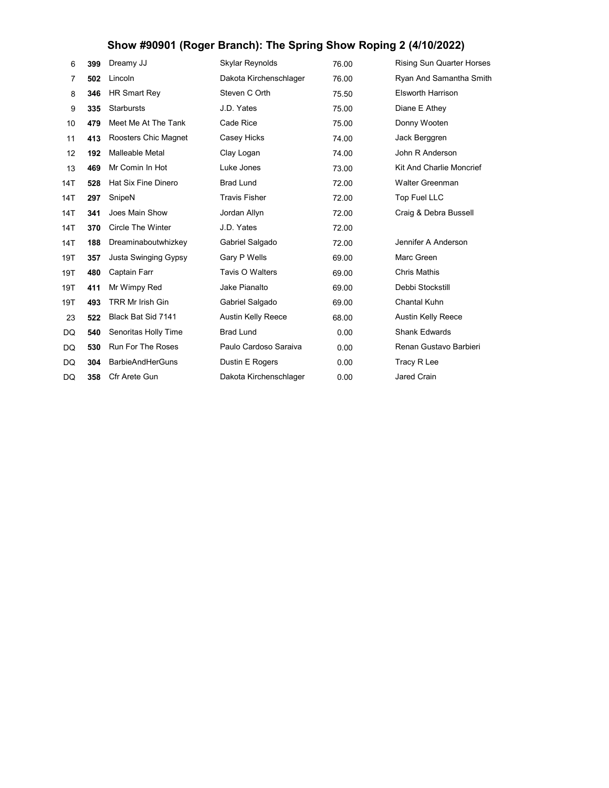| 6   | 399 | Dreamy JJ                  | Skylar Reynolds           | 76.00 | <b>Rising Sun Quarter Horses</b> |
|-----|-----|----------------------------|---------------------------|-------|----------------------------------|
| 7   | 502 | Lincoln                    | Dakota Kirchenschlager    | 76.00 | Ryan And Samantha Smith          |
| 8   | 346 | <b>HR Smart Rey</b>        | Steven C Orth             | 75.50 | <b>Elsworth Harrison</b>         |
| 9   | 335 | <b>Starbursts</b>          | J.D. Yates                | 75.00 | Diane E Athey                    |
| 10  | 479 | Meet Me At The Tank        | Cade Rice                 | 75.00 | Donny Wooten                     |
| 11  | 413 | Roosters Chic Magnet       | Casey Hicks               | 74.00 | Jack Berggren                    |
| 12  | 192 | Malleable Metal            | Clay Logan                | 74.00 | John R Anderson                  |
| 13  | 469 | Mr Comin In Hot            | Luke Jones                | 73.00 | Kit And Charlie Moncrief         |
| 14T | 528 | <b>Hat Six Fine Dinero</b> | <b>Brad Lund</b>          | 72.00 | Walter Greenman                  |
| 14T | 297 | SnipeN                     | <b>Travis Fisher</b>      | 72.00 | Top Fuel LLC                     |
| 14T | 341 | Joes Main Show             | Jordan Allyn              | 72.00 | Craig & Debra Bussell            |
| 14T | 370 | <b>Circle The Winter</b>   | J.D. Yates                | 72.00 |                                  |
| 14T | 188 | Dreaminaboutwhizkey        | Gabriel Salgado           | 72.00 | Jennifer A Anderson              |
| 19T | 357 | Justa Swinging Gypsy       | Gary P Wells              | 69.00 | Marc Green                       |
| 19T | 480 | Captain Farr               | Tavis O Walters           | 69.00 | <b>Chris Mathis</b>              |
| 19T | 411 | Mr Wimpy Red               | Jake Pianalto             | 69.00 | Debbi Stockstill                 |
| 19T | 493 | <b>TRR Mr Irish Gin</b>    | Gabriel Salgado           | 69.00 | Chantal Kuhn                     |
| 23  | 522 | Black Bat Sid 7141         | <b>Austin Kelly Reece</b> | 68.00 | <b>Austin Kelly Reece</b>        |
| DQ  | 540 | Senoritas Holly Time       | <b>Brad Lund</b>          | 0.00  | <b>Shank Edwards</b>             |
| DQ  | 530 | <b>Run For The Roses</b>   | Paulo Cardoso Saraiva     | 0.00  | Renan Gustavo Barbieri           |
| DQ  | 304 | <b>BarbieAndHerGuns</b>    | Dustin E Rogers           | 0.00  | Tracy R Lee                      |
| DQ  | 358 | Cfr Arete Gun              | Dakota Kirchenschlager    | 0.00  | <b>Jared Crain</b>               |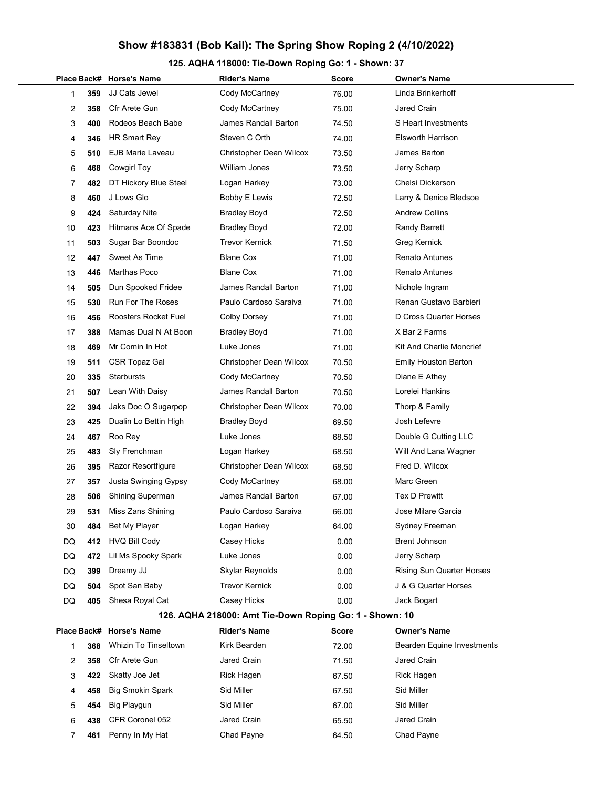### 125. AQHA 118000: Tie-Down Roping Go: 1 - Shown: 37

|             |     | Place Back# Horse's Name    | <b>Rider's Name</b>                                     | Score | <b>Owner's Name</b>             |
|-------------|-----|-----------------------------|---------------------------------------------------------|-------|---------------------------------|
| 1           | 359 | JJ Cats Jewel               | Cody McCartney                                          | 76.00 | Linda Brinkerhoff               |
| 2           | 358 | Cfr Arete Gun               | Cody McCartney                                          | 75.00 | Jared Crain                     |
| 3           | 400 | Rodeos Beach Babe           | James Randall Barton                                    | 74.50 | S Heart Investments             |
| 4           | 346 | <b>HR Smart Rey</b>         | Steven C Orth                                           | 74.00 | <b>Elsworth Harrison</b>        |
| 5           | 510 | <b>EJB Marie Laveau</b>     | Christopher Dean Wilcox                                 | 73.50 | James Barton                    |
| 6           | 468 | Cowgirl Toy                 | William Jones                                           | 73.50 | Jerry Scharp                    |
| 7           | 482 | DT Hickory Blue Steel       | Logan Harkey                                            | 73.00 | Chelsi Dickerson                |
| 8           | 460 | J Lows Glo                  | Bobby E Lewis                                           | 72.50 | Larry & Denice Bledsoe          |
| 9           | 424 | Saturday Nite               | <b>Bradley Boyd</b>                                     | 72.50 | <b>Andrew Collins</b>           |
| 10          | 423 | Hitmans Ace Of Spade        | <b>Bradley Boyd</b>                                     | 72.00 | <b>Randy Barrett</b>            |
| 11          | 503 | Sugar Bar Boondoc           | Trevor Kernick                                          | 71.50 | Greg Kernick                    |
| 12          | 447 | Sweet As Time               | <b>Blane Cox</b>                                        | 71.00 | Renato Antunes                  |
| 13          | 446 | Marthas Poco                | <b>Blane Cox</b>                                        | 71.00 | <b>Renato Antunes</b>           |
| 14          | 505 | Dun Spooked Fridee          | James Randall Barton                                    | 71.00 | Nichole Ingram                  |
| 15          | 530 | <b>Run For The Roses</b>    | Paulo Cardoso Saraiva                                   | 71.00 | Renan Gustavo Barbieri          |
| 16          | 456 | Roosters Rocket Fuel        | <b>Colby Dorsey</b>                                     | 71.00 | D Cross Quarter Horses          |
| 17          | 388 | Mamas Dual N At Boon        | <b>Bradley Boyd</b>                                     | 71.00 | X Bar 2 Farms                   |
| 18          | 469 | Mr Comin In Hot             | Luke Jones                                              | 71.00 | <b>Kit And Charlie Moncrief</b> |
| 19          | 511 | CSR Topaz Gal               | Christopher Dean Wilcox                                 | 70.50 | <b>Emily Houston Barton</b>     |
| 20          | 335 | Starbursts                  | Cody McCartney                                          | 70.50 | Diane E Athey                   |
| 21          | 507 | Lean With Daisy             | James Randall Barton                                    | 70.50 | Lorelei Hankins                 |
| 22          | 394 | Jaks Doc O Sugarpop         | Christopher Dean Wilcox                                 | 70.00 | Thorp & Family                  |
| 23          | 425 | Dualin Lo Bettin High       | <b>Bradley Boyd</b>                                     | 69.50 | Josh Lefevre                    |
| 24          | 467 | Roo Rey                     | Luke Jones                                              | 68.50 | Double G Cutting LLC            |
| 25          | 483 | Sly Frenchman               | Logan Harkey                                            | 68.50 | Will And Lana Wagner            |
| 26          | 395 | Razor Resortfigure          | Christopher Dean Wilcox                                 | 68.50 | Fred D. Wilcox                  |
| 27          | 357 | Justa Swinging Gypsy        | Cody McCartney                                          | 68.00 | Marc Green                      |
| 28          | 506 | <b>Shining Superman</b>     | James Randall Barton                                    | 67.00 | <b>Tex D Prewitt</b>            |
| 29          | 531 | Miss Zans Shining           | Paulo Cardoso Saraiva                                   | 66.00 | Jose Milare Garcia              |
| 30          | 484 | Bet My Player               | Logan Harkey                                            | 64.00 | Sydney Freeman                  |
| DQ          | 412 | <b>HVQ Bill Cody</b>        | Casey Hicks                                             | 0.00  | <b>Brent Johnson</b>            |
| DQ          | 472 | Lil Ms Spooky Spark         | Luke Jones                                              | 0.00  | Jerry Scharp                    |
| DQ          | 399 | Dreamy JJ                   | Skylar Reynolds                                         | 0.00  | Rising Sun Quarter Horses       |
| DQ          | 504 | Spot San Baby               | <b>Trevor Kernick</b>                                   | 0.00  | J & G Quarter Horses            |
| DQ          | 405 | Shesa Royal Cat             | Casey Hicks                                             | 0.00  | Jack Bogart                     |
|             |     |                             | 126. AQHA 218000: Amt Tie-Down Roping Go: 1 - Shown: 10 |       |                                 |
| Place Back# |     | <b>Horse's Name</b>         | <b>Rider's Name</b>                                     | Score | <b>Owner's Name</b>             |
| 1           | 368 | <b>Whizin To Tinseltown</b> | Kirk Bearden                                            | 72.00 | Bearden Equine Investments      |
|             |     |                             |                                                         |       |                                 |

|    | 368 | Whizin To Tinseltown    | Kirk Bearden      | 72.00 | Bearden Equine Investments |
|----|-----|-------------------------|-------------------|-------|----------------------------|
|    | 358 | Cfr Arete Gun           | Jared Crain       | 71.50 | Jared Crain                |
| 3. | 422 | Skatty Joe Jet          | <b>Rick Hagen</b> | 67.50 | Rick Hagen                 |
| 4  | 458 | <b>Big Smokin Spark</b> | Sid Miller        | 67.50 | Sid Miller                 |
| 5  | 454 | Big Playgun             | Sid Miller        | 67.00 | Sid Miller                 |
| 6  | 438 | CFR Coronel 052         | Jared Crain       | 65.50 | Jared Crain                |
|    | 461 | Penny In My Hat         | Chad Payne        | 64.50 | Chad Payne                 |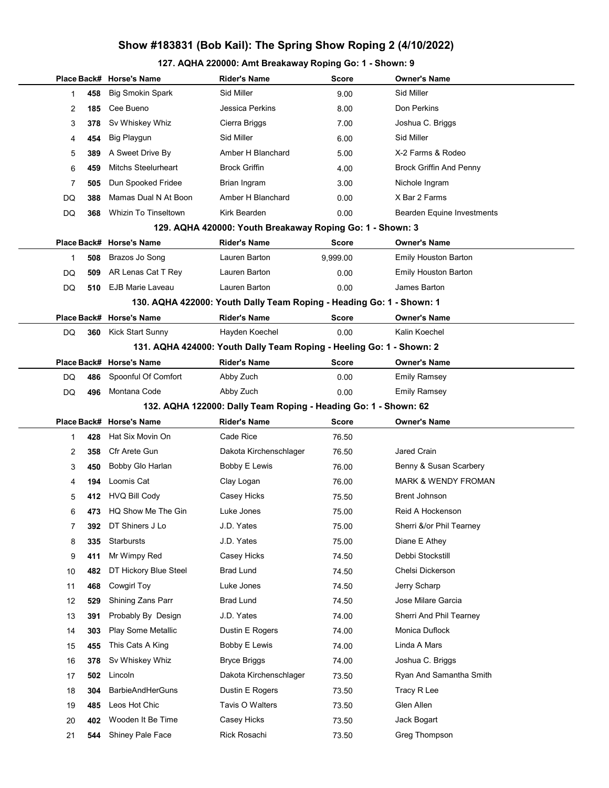### 127. AQHA 220000: Amt Breakaway Roping Go: 1 - Shown: 9

|    |     | Place Back# Horse's Name              | <b>Rider's Name</b>                                                  | Score          | <b>Owner's Name</b>               |
|----|-----|---------------------------------------|----------------------------------------------------------------------|----------------|-----------------------------------|
| 1  | 458 | <b>Big Smokin Spark</b>               | Sid Miller                                                           | 9.00           | Sid Miller                        |
| 2  | 185 | Cee Bueno                             | Jessica Perkins                                                      | 8.00           | Don Perkins                       |
| 3  | 378 | Sv Whiskey Whiz                       | Cierra Briggs                                                        | 7.00           | Joshua C. Briggs                  |
| 4  | 454 | <b>Big Playgun</b>                    | Sid Miller                                                           | 6.00           | Sid Miller                        |
| 5  | 389 | A Sweet Drive By                      | Amber H Blanchard                                                    | 5.00           | X-2 Farms & Rodeo                 |
| 6  | 459 | <b>Mitchs Steelurheart</b>            | <b>Brock Griffin</b>                                                 | 4.00           | <b>Brock Griffin And Penny</b>    |
| 7  | 505 | Dun Spooked Fridee                    | Brian Ingram                                                         | 3.00           | Nichole Ingram                    |
| DQ | 388 | Mamas Dual N At Boon                  | Amber H Blanchard                                                    | 0.00           | X Bar 2 Farms                     |
| DQ | 368 | Whizin To Tinseltown                  | Kirk Bearden                                                         | 0.00           | <b>Bearden Equine Investments</b> |
|    |     |                                       | 129. AQHA 420000: Youth Breakaway Roping Go: 1 - Shown: 3            |                |                                   |
|    |     | Place Back# Horse's Name              | <b>Rider's Name</b>                                                  | <b>Score</b>   | <b>Owner's Name</b>               |
| 1  | 508 | Brazos Jo Song                        | Lauren Barton                                                        | 9,999.00       | Emily Houston Barton              |
| DQ | 509 | AR Lenas Cat T Rey                    | Lauren Barton                                                        | 0.00           | <b>Emily Houston Barton</b>       |
| DQ | 510 | <b>EJB Marie Laveau</b>               | Lauren Barton                                                        | 0.00           | James Barton                      |
|    |     |                                       | 130. AQHA 422000: Youth Dally Team Roping - Heading Go: 1 - Shown: 1 |                |                                   |
|    |     | Place Back# Horse's Name              | <b>Rider's Name</b>                                                  | <b>Score</b>   | Owner's Name                      |
| DQ | 360 | <b>Kick Start Sunny</b>               | Hayden Koechel                                                       | 0.00           | Kalin Koechel                     |
|    |     |                                       | 131. AQHA 424000: Youth Dally Team Roping - Heeling Go: 1 - Shown: 2 |                |                                   |
|    |     | Place Back# Horse's Name              | <b>Rider's Name</b>                                                  | Score          | Owner's Name                      |
| DQ | 486 | Spoonful Of Comfort                   | Abby Zuch                                                            | 0.00           | <b>Emily Ramsey</b>               |
| DQ | 496 | Montana Code                          | Abby Zuch                                                            | 0.00           | <b>Emily Ramsey</b>               |
|    |     |                                       | 132. AQHA 122000: Dally Team Roping - Heading Go: 1 - Shown: 62      |                |                                   |
|    |     | Place Back# Horse's Name              | <b>Rider's Name</b>                                                  | <b>Score</b>   | Owner's Name                      |
| 1  | 428 | Hat Six Movin On                      | Cade Rice                                                            | 76.50          |                                   |
| 2  | 358 | Cfr Arete Gun                         | Dakota Kirchenschlager                                               | 76.50          | Jared Crain                       |
| 3  | 450 | Bobby Glo Harlan                      | <b>Bobby E Lewis</b>                                                 | 76.00          | Benny & Susan Scarbery            |
| 4  | 194 | Loomis Cat                            | Clay Logan                                                           | 76.00          | <b>MARK &amp; WENDY FROMAN</b>    |
| 5  | 412 | <b>HVQ Bill Cody</b>                  | Casey Hicks                                                          | 75.50          | <b>Brent Johnson</b>              |
| 6  | 473 | HQ Show Me The Gin                    | Luke Jones                                                           | 75.00          | Reid A Hockenson                  |
| 7  | 392 | DT Shiners J Lo                       | J.D. Yates                                                           | 75.00          | Sherri &/or Phil Tearney          |
| 8  | 335 | <b>Starbursts</b>                     | J.D. Yates                                                           |                |                                   |
| 9  |     |                                       |                                                                      | 75.00          | Diane E Athey                     |
|    | 411 | Mr Wimpy Red                          | Casey Hicks                                                          | 74.50          | Debbi Stockstill                  |
| 10 | 482 | DT Hickory Blue Steel                 | <b>Brad Lund</b>                                                     | 74.50          | Chelsi Dickerson                  |
| 11 | 468 | <b>Cowgirl Toy</b>                    | Luke Jones                                                           | 74.50          | Jerry Scharp                      |
| 12 | 529 | Shining Zans Parr                     | <b>Brad Lund</b>                                                     | 74.50          | Jose Milare Garcia                |
| 13 | 391 | Probably By Design                    | J.D. Yates                                                           | 74.00          | Sherri And Phil Tearney           |
| 14 | 303 | Play Some Metallic                    | Dustin E Rogers                                                      | 74.00          | Monica Duflock                    |
| 15 | 455 | This Cats A King                      | <b>Bobby E Lewis</b>                                                 | 74.00          | Linda A Mars                      |
| 16 | 378 | Sv Whiskey Whiz                       | <b>Bryce Briggs</b>                                                  | 74.00          | Joshua C. Briggs                  |
| 17 | 502 | Lincoln                               | Dakota Kirchenschlager                                               | 73.50          | Ryan And Samantha Smith           |
| 18 | 304 | <b>BarbieAndHerGuns</b>               | Dustin E Rogers                                                      | 73.50          | Tracy R Lee                       |
| 19 | 485 | Leos Hot Chic                         | Tavis O Walters                                                      | 73.50          | Glen Allen                        |
| 20 | 402 | Wooden It Be Time<br>Shiney Pale Face | Casey Hicks<br>Rick Rosachi                                          | 73.50<br>73.50 | Jack Bogart<br>Greg Thompson      |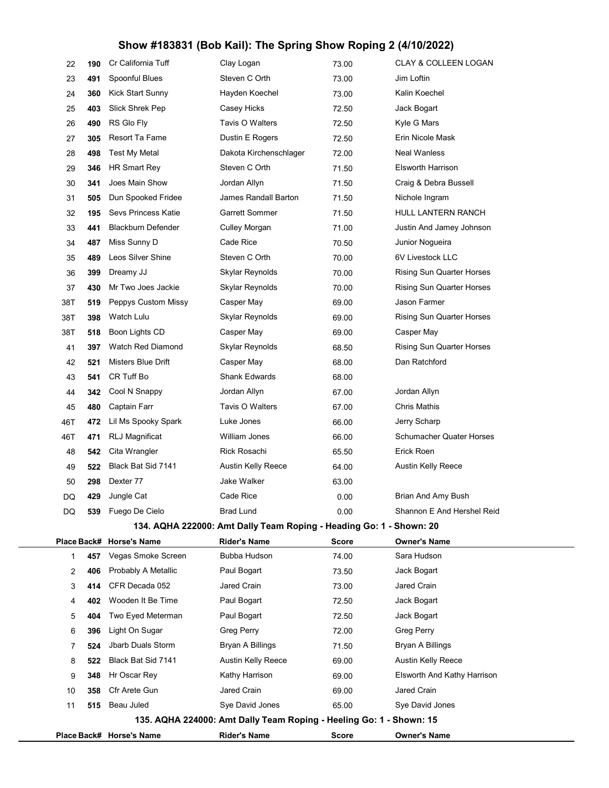| 22          | 190 | Cr California Tuff         | Clay Logan                                                          | 73.00        | <b>CLAY &amp; COLLEEN LOGAN</b>  |  |
|-------------|-----|----------------------------|---------------------------------------------------------------------|--------------|----------------------------------|--|
| 23          | 491 | Spoonful Blues             | Steven C Orth                                                       | 73.00        | Jim Loftin                       |  |
| 24          | 360 | Kick Start Sunny           | Hayden Koechel                                                      | 73.00        | Kalin Koechel                    |  |
| 25          | 403 | Slick Shrek Pep            | Casey Hicks                                                         | 72.50        | Jack Bogart                      |  |
| 26          | 490 | RS Glo Fly                 | Tavis O Walters                                                     | 72.50        | Kyle G Mars                      |  |
| 27          | 305 | Resort Ta Fame             | Dustin E Rogers                                                     | 72.50        | Erin Nicole Mask                 |  |
| 28          | 498 | <b>Test My Metal</b>       | Dakota Kirchenschlager                                              | 72.00        | <b>Neal Wanless</b>              |  |
| 29          | 346 | HR Smart Rey               | Steven C Orth                                                       | 71.50        | <b>Elsworth Harrison</b>         |  |
| 30          | 341 | Joes Main Show             | Jordan Allyn                                                        | 71.50        | Craig & Debra Bussell            |  |
| 31          | 505 | Dun Spooked Fridee         | James Randall Barton                                                | 71.50        | Nichole Ingram                   |  |
| 32          | 195 | <b>Sevs Princess Katie</b> | <b>Garrett Sommer</b>                                               | 71.50        | HULL LANTERN RANCH               |  |
| 33          | 441 | <b>Blackburn Defender</b>  | Culley Morgan                                                       | 71.00        | Justin And Jamey Johnson         |  |
| 34          | 487 | Miss Sunny D               | Cade Rice                                                           | 70.50        | Junior Nogueira                  |  |
| 35          | 489 | Leos Silver Shine          | Steven C Orth                                                       | 70.00        | 6V Livestock LLC                 |  |
| 36          | 399 | Dreamy JJ                  | Skylar Reynolds                                                     | 70.00        | <b>Rising Sun Quarter Horses</b> |  |
| 37          | 430 | Mr Two Joes Jackie         | Skylar Reynolds                                                     | 70.00        | <b>Rising Sun Quarter Horses</b> |  |
| 38T         | 519 | Peppys Custom Missy        | Casper May                                                          | 69.00        | Jason Farmer                     |  |
| 38T         | 398 | Watch Lulu                 | Skylar Reynolds                                                     | 69.00        | <b>Rising Sun Quarter Horses</b> |  |
| 38T         | 518 | Boon Lights CD             | Casper May                                                          | 69.00        | Casper May                       |  |
| 41          | 397 | Watch Red Diamond          | Skylar Reynolds                                                     | 68.50        | Rising Sun Quarter Horses        |  |
| 42          | 521 | Misters Blue Drift         | Casper May                                                          | 68.00        | Dan Ratchford                    |  |
| 43          | 541 | CR Tuff Bo                 | <b>Shank Edwards</b>                                                | 68.00        |                                  |  |
| 44          | 342 | Cool N Snappy              | Jordan Allyn                                                        | 67.00        | Jordan Allyn                     |  |
| 45          | 480 | Captain Farr               | Tavis O Walters                                                     | 67.00        | <b>Chris Mathis</b>              |  |
| 46T         | 472 | Lil Ms Spooky Spark        | Luke Jones                                                          | 66.00        | Jerry Scharp                     |  |
| 46T         | 471 | <b>RLJ Magnificat</b>      | William Jones                                                       | 66.00        | <b>Schumacher Quater Horses</b>  |  |
| 48          | 542 | Cita Wrangler              | <b>Rick Rosachi</b>                                                 | 65.50        | Erick Roen                       |  |
| 49          | 522 | Black Bat Sid 7141         | Austin Kelly Reece                                                  | 64.00        | Austin Kelly Reece               |  |
| 50          | 298 | Dexter 77                  | Jake Walker                                                         | 63.00        |                                  |  |
| DQ          | 429 | Jungle Cat                 | Cade Rice                                                           | 0.00         | Brian And Amy Bush               |  |
| DQ          | 539 | Fuego De Cielo             | <b>Brad Lund</b>                                                    | 0.00         | Shannon E And Hershel Reid       |  |
|             |     |                            | 134. AQHA 222000: Amt Dally Team Roping - Heading Go: 1 - Shown: 20 |              |                                  |  |
| Place Back# |     | <b>Horse's Name</b>        | <b>Rider's Name</b>                                                 | <b>Score</b> | <b>Owner's Name</b>              |  |
| 1           | 457 | Vegas Smoke Screen         | Bubba Hudson                                                        | 74.00        | Sara Hudson                      |  |
| 2           | 406 | Probably A Metallic        | Paul Bogart                                                         | 73.50        | Jack Bogart                      |  |
| 3           | 414 | CFR Decada 052             | Jared Crain                                                         | 73.00        | Jared Crain                      |  |
| 4           | 402 | Wooden It Be Time          | Paul Bogart                                                         | 72.50        | Jack Bogart                      |  |
| 5           | 404 | Two Eyed Meterman          | Paul Bogart                                                         | 72.50        | Jack Bogart                      |  |
| 6           | 396 | Light On Sugar             | Greg Perry                                                          | 72.00        | Greg Perry                       |  |
| 7           | 524 | Jbarb Duals Storm          | Bryan A Billings                                                    | 71.50        | Bryan A Billings                 |  |
| 8           | 522 | Black Bat Sid 7141         | Austin Kelly Reece                                                  | 69.00        | Austin Kelly Reece               |  |
| 9           | 348 | Hr Oscar Rey               | Kathy Harrison                                                      | 69.00        | Elsworth And Kathy Harrison      |  |
| 10          | 358 | Cfr Arete Gun              | Jared Crain                                                         | 69.00        | Jared Crain                      |  |
| 11          | 515 | Beau Juled                 | Sye David Jones                                                     | 65.00        | Sye David Jones                  |  |
|             |     |                            | 135. AQHA 224000: Amt Dally Team Roping - Heeling Go: 1 - Shown: 15 |              |                                  |  |
|             |     | Place Back# Horse's Name   | <b>Rider's Name</b>                                                 | <b>Score</b> | <b>Owner's Name</b>              |  |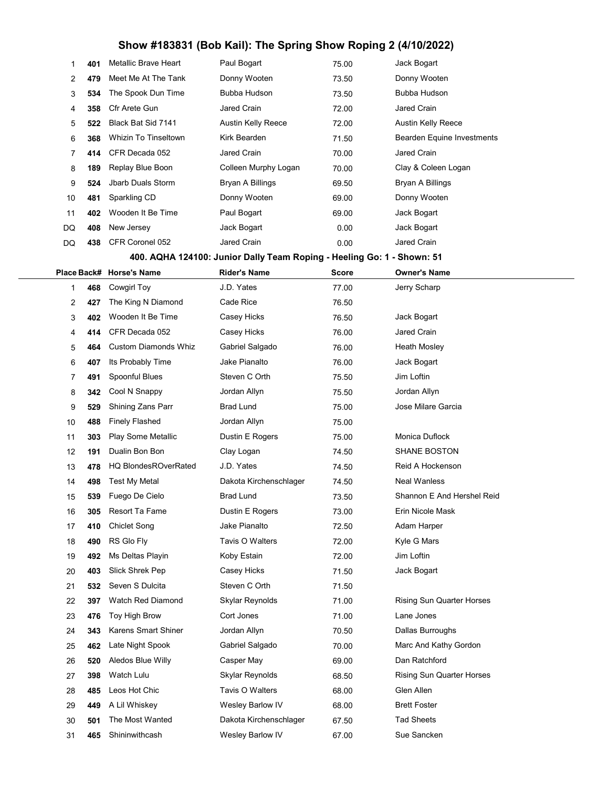| 1              | 401 | Metallic Brave Heart        | Paul Bogart          | 75.00 | Jack Bogart                |
|----------------|-----|-----------------------------|----------------------|-------|----------------------------|
| $\overline{2}$ | 479 | Meet Me At The Tank         | Donny Wooten         | 73.50 | Donny Wooten               |
| 3              | 534 | The Spook Dun Time          | Bubba Hudson         | 73.50 | Bubba Hudson               |
| 4              | 358 | Cfr Arete Gun               | <b>Jared Crain</b>   | 72.00 | Jared Crain                |
| 5              | 522 | Black Bat Sid 7141          | Austin Kelly Reece   | 72.00 | Austin Kelly Reece         |
| 6              | 368 | <b>Whizin To Tinseltown</b> | Kirk Bearden         | 71.50 | Bearden Equine Investments |
| 7              | 414 | CFR Decada 052              | <b>Jared Crain</b>   | 70.00 | Jared Crain                |
| 8              | 189 | Replay Blue Boon            | Colleen Murphy Logan | 70.00 | Clay & Coleen Logan        |
| 9              | 524 | Jbarb Duals Storm           | Bryan A Billings     | 69.50 | Bryan A Billings           |
| 10             | 481 | Sparkling CD                | Donny Wooten         | 69.00 | Donny Wooten               |
| 11             | 402 | Wooden It Be Time           | Paul Bogart          | 69.00 | Jack Bogart                |
| DQ             | 408 | New Jersey                  | Jack Bogart          | 0.00  | Jack Bogart                |
| DQ             | 438 | CFR Coronel 052             | Jared Crain          | 0.00  | <b>Jared Crain</b>         |

400. AQHA 124100: Junior Dally Team Roping - Heeling Go: 1 - Shown: 51

|    |     | Place Back# Horse's Name    | <b>Rider's Name</b>     | <b>Score</b> | <b>Owner's Name</b>              |  |
|----|-----|-----------------------------|-------------------------|--------------|----------------------------------|--|
| 1  | 468 | Cowgirl Toy                 | J.D. Yates              | 77.00        | Jerry Scharp                     |  |
| 2  | 427 | The King N Diamond          | Cade Rice               | 76.50        |                                  |  |
| 3  | 402 | Wooden It Be Time           | Casey Hicks             | 76.50        | Jack Bogart                      |  |
| 4  | 414 | CFR Decada 052              | Casey Hicks             | 76.00        | Jared Crain                      |  |
| 5  | 464 | <b>Custom Diamonds Whiz</b> | Gabriel Salgado         | 76.00        | <b>Heath Mosley</b>              |  |
| 6  | 407 | Its Probably Time           | Jake Pianalto           | 76.00        | Jack Bogart                      |  |
| 7  | 491 | Spoonful Blues              | Steven C Orth           | 75.50        | Jim Loftin                       |  |
| 8  | 342 | Cool N Snappy               | Jordan Allyn            | 75.50        | Jordan Allyn                     |  |
| 9  | 529 | Shining Zans Parr           | <b>Brad Lund</b>        | 75.00        | Jose Milare Garcia               |  |
| 10 | 488 | <b>Finely Flashed</b>       | Jordan Allyn            | 75.00        |                                  |  |
| 11 | 303 | Play Some Metallic          | Dustin E Rogers         | 75.00        | Monica Duflock                   |  |
| 12 | 191 | Dualin Bon Bon              | Clay Logan              | 74.50        | <b>SHANE BOSTON</b>              |  |
| 13 | 478 | <b>HQ BlondesROverRated</b> | J.D. Yates              | 74.50        | Reid A Hockenson                 |  |
| 14 | 498 | Test My Metal               | Dakota Kirchenschlager  | 74.50        | <b>Neal Wanless</b>              |  |
| 15 | 539 | Fuego De Cielo              | Brad Lund               | 73.50        | Shannon E And Hershel Reid       |  |
| 16 | 305 | Resort Ta Fame              | Dustin E Rogers         | 73.00        | Erin Nicole Mask                 |  |
| 17 | 410 | <b>Chiclet Song</b>         | Jake Pianalto           | 72.50        | Adam Harper                      |  |
| 18 | 490 | RS Glo Fly                  | Tavis O Walters         | 72.00        | Kyle G Mars                      |  |
| 19 | 492 | Ms Deltas Playin            | Koby Estain             | 72.00        | Jim Loftin                       |  |
| 20 | 403 | Slick Shrek Pep             | Casey Hicks             | 71.50        | Jack Bogart                      |  |
| 21 | 532 | Seven S Dulcita             | Steven C Orth           | 71.50        |                                  |  |
| 22 | 397 | <b>Watch Red Diamond</b>    | Skylar Reynolds         | 71.00        | <b>Rising Sun Quarter Horses</b> |  |
| 23 | 476 | Toy High Brow               | Cort Jones              | 71.00        | Lane Jones                       |  |
| 24 | 343 | Karens Smart Shiner         | Jordan Allyn            | 70.50        | Dallas Burroughs                 |  |
| 25 | 462 | Late Night Spook            | Gabriel Salgado         | 70.00        | Marc And Kathy Gordon            |  |
| 26 | 520 | Aledos Blue Willy           | Casper May              | 69.00        | Dan Ratchford                    |  |
| 27 | 398 | Watch Lulu                  | Skylar Reynolds         | 68.50        | <b>Rising Sun Quarter Horses</b> |  |
| 28 | 485 | Leos Hot Chic               | Tavis O Walters         | 68.00        | Glen Allen                       |  |
| 29 | 449 | A Lil Whiskey               | Wesley Barlow IV        | 68.00        | <b>Brett Foster</b>              |  |
| 30 | 501 | The Most Wanted             | Dakota Kirchenschlager  | 67.50        | <b>Tad Sheets</b>                |  |
| 31 | 465 | Shininwithcash              | <b>Wesley Barlow IV</b> | 67.00        | Sue Sancken                      |  |
|    |     |                             |                         |              |                                  |  |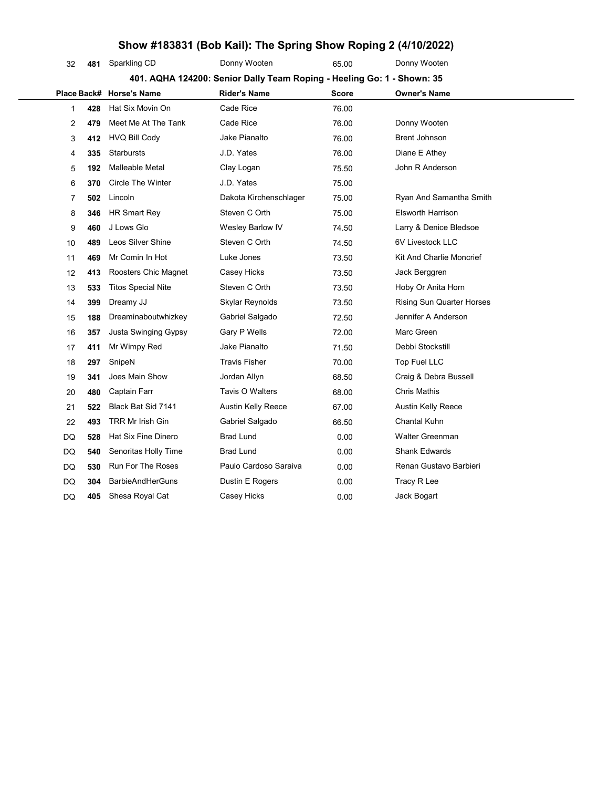| Show #183831 (Bob Kail): The Spring Show Roping 2 (4/10/2022)          |     |                           |                        |              |                           |  |  |  |
|------------------------------------------------------------------------|-----|---------------------------|------------------------|--------------|---------------------------|--|--|--|
| 32                                                                     | 481 | Sparkling CD              | Donny Wooten           | 65.00        | Donny Wooten              |  |  |  |
| 401. AQHA 124200: Senior Dally Team Roping - Heeling Go: 1 - Shown: 35 |     |                           |                        |              |                           |  |  |  |
|                                                                        |     | Place Back# Horse's Name  | <b>Rider's Name</b>    | <b>Score</b> | Owner's Name              |  |  |  |
| 1                                                                      | 428 | Hat Six Movin On          | Cade Rice              | 76.00        |                           |  |  |  |
| 2                                                                      | 479 | Meet Me At The Tank       | Cade Rice              | 76.00        | Donny Wooten              |  |  |  |
| 3                                                                      | 412 | <b>HVQ Bill Cody</b>      | Jake Pianalto          | 76.00        | Brent Johnson             |  |  |  |
| 4                                                                      | 335 | <b>Starbursts</b>         | J.D. Yates             | 76.00        | Diane E Athey             |  |  |  |
| 5                                                                      | 192 | <b>Malleable Metal</b>    | Clay Logan             | 75.50        | John R Anderson           |  |  |  |
| 6                                                                      | 370 | <b>Circle The Winter</b>  | J.D. Yates             | 75.00        |                           |  |  |  |
| 7                                                                      | 502 | Lincoln                   | Dakota Kirchenschlager | 75.00        | Ryan And Samantha Smith   |  |  |  |
| 8                                                                      | 346 | HR Smart Rey              | Steven C Orth          | 75.00        | <b>Elsworth Harrison</b>  |  |  |  |
| 9                                                                      | 460 | J Lows Glo                | Wesley Barlow IV       | 74.50        | Larry & Denice Bledsoe    |  |  |  |
| 10                                                                     | 489 | Leos Silver Shine         | Steven C Orth          | 74.50        | 6V Livestock LLC          |  |  |  |
| 11                                                                     | 469 | Mr Comin In Hot           | Luke Jones             | 73.50        | Kit And Charlie Moncrief  |  |  |  |
| 12                                                                     | 413 | Roosters Chic Magnet      | Casey Hicks            | 73.50        | Jack Berggren             |  |  |  |
| 13                                                                     | 533 | <b>Titos Special Nite</b> | Steven C Orth          | 73.50        | Hoby Or Anita Horn        |  |  |  |
| 14                                                                     | 399 | Dreamy JJ                 | Skylar Reynolds        | 73.50        | Rising Sun Quarter Horses |  |  |  |
| 15                                                                     | 188 | Dreaminaboutwhizkey       | Gabriel Salgado        | 72.50        | Jennifer A Anderson       |  |  |  |
| 16                                                                     | 357 | Justa Swinging Gypsy      | Gary P Wells           | 72.00        | Marc Green                |  |  |  |
| 17                                                                     | 411 | Mr Wimpy Red              | Jake Pianalto          | 71.50        | Debbi Stockstill          |  |  |  |
| 18                                                                     | 297 | SnipeN                    | <b>Travis Fisher</b>   | 70.00        | Top Fuel LLC              |  |  |  |
| 19                                                                     | 341 | Joes Main Show            | Jordan Allyn           | 68.50        | Craig & Debra Bussell     |  |  |  |
| 20                                                                     | 480 | Captain Farr              | Tavis O Walters        | 68.00        | <b>Chris Mathis</b>       |  |  |  |
| 21                                                                     | 522 | Black Bat Sid 7141        | Austin Kelly Reece     | 67.00        | Austin Kelly Reece        |  |  |  |
| 22                                                                     | 493 | TRR Mr Irish Gin          | Gabriel Salgado        | 66.50        | Chantal Kuhn              |  |  |  |
| DQ                                                                     | 528 | Hat Six Fine Dinero       | <b>Brad Lund</b>       | 0.00         | Walter Greenman           |  |  |  |
| DQ                                                                     | 540 | Senoritas Holly Time      | <b>Brad Lund</b>       | 0.00         | <b>Shank Edwards</b>      |  |  |  |
| DQ                                                                     | 530 | <b>Run For The Roses</b>  | Paulo Cardoso Saraiva  | 0.00         | Renan Gustavo Barbieri    |  |  |  |
| DQ                                                                     | 304 | <b>BarbieAndHerGuns</b>   | Dustin E Rogers        | 0.00         | Tracy R Lee               |  |  |  |
| DQ                                                                     | 405 | Shesa Royal Cat           | Casey Hicks            | 0.00         | Jack Bogart               |  |  |  |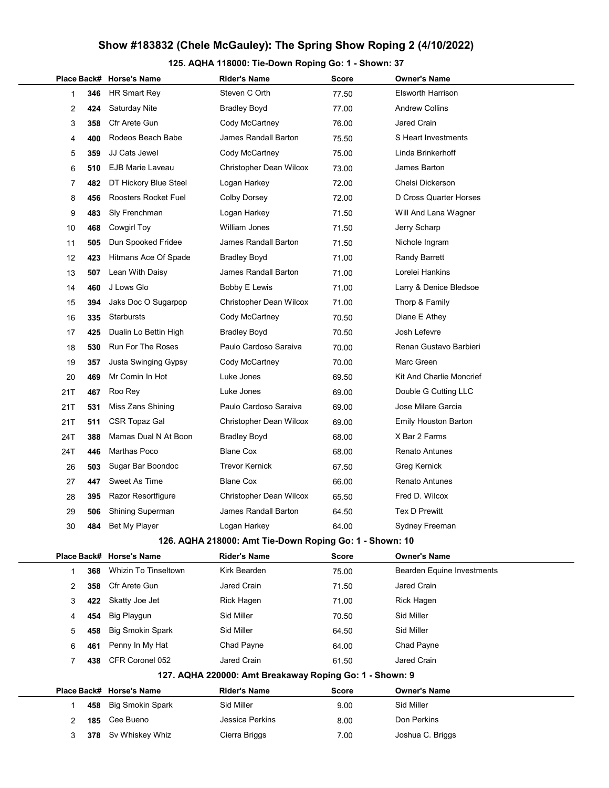125. AQHA 118000: Tie-Down Roping Go: 1 - Shown: 37

|                                                         |     | Place Back# Horse's Name    | <b>Rider's Name</b>                                     | Score        | <b>Owner's Name</b>               |  |  |  |
|---------------------------------------------------------|-----|-----------------------------|---------------------------------------------------------|--------------|-----------------------------------|--|--|--|
| 1                                                       | 346 | HR Smart Rey                | Steven C Orth                                           | 77.50        | <b>Elsworth Harrison</b>          |  |  |  |
| 2                                                       | 424 | Saturday Nite               | <b>Bradley Boyd</b>                                     | 77.00        | <b>Andrew Collins</b>             |  |  |  |
| 3                                                       | 358 | Cfr Arete Gun               | Cody McCartney                                          | 76.00        | Jared Crain                       |  |  |  |
| 4                                                       | 400 | Rodeos Beach Babe           | James Randall Barton                                    | 75.50        | S Heart Investments               |  |  |  |
| 5                                                       | 359 | JJ Cats Jewel               | Cody McCartney                                          | 75.00        | Linda Brinkerhoff                 |  |  |  |
| 6                                                       | 510 | <b>EJB Marie Laveau</b>     | Christopher Dean Wilcox                                 | 73.00        | James Barton                      |  |  |  |
| 7                                                       | 482 | DT Hickory Blue Steel       | Logan Harkey                                            | 72.00        | Chelsi Dickerson                  |  |  |  |
| 8                                                       | 456 | Roosters Rocket Fuel        | <b>Colby Dorsey</b>                                     | 72.00        | D Cross Quarter Horses            |  |  |  |
| 9                                                       | 483 | Sly Frenchman               | Logan Harkey                                            | 71.50        | Will And Lana Wagner              |  |  |  |
| 10                                                      | 468 | Cowgirl Toy                 | <b>William Jones</b>                                    | 71.50        | Jerry Scharp                      |  |  |  |
| 11                                                      | 505 | Dun Spooked Fridee          | James Randall Barton                                    | 71.50        | Nichole Ingram                    |  |  |  |
| 12                                                      | 423 | Hitmans Ace Of Spade        | <b>Bradley Boyd</b>                                     | 71.00        | <b>Randy Barrett</b>              |  |  |  |
| 13                                                      | 507 | Lean With Daisy             | James Randall Barton                                    | 71.00        | Lorelei Hankins                   |  |  |  |
| 14                                                      | 460 | J Lows Glo                  | <b>Bobby E Lewis</b>                                    | 71.00        | Larry & Denice Bledsoe            |  |  |  |
| 15                                                      | 394 | Jaks Doc O Sugarpop         | <b>Christopher Dean Wilcox</b>                          | 71.00        | Thorp & Family                    |  |  |  |
| 16                                                      | 335 | Starbursts                  | Cody McCartney                                          | 70.50        | Diane E Athey                     |  |  |  |
| 17                                                      | 425 | Dualin Lo Bettin High       | Bradley Boyd                                            | 70.50        | Josh Lefevre                      |  |  |  |
| 18                                                      | 530 | <b>Run For The Roses</b>    | Paulo Cardoso Saraiva                                   | 70.00        | Renan Gustavo Barbieri            |  |  |  |
| 19                                                      | 357 | Justa Swinging Gypsy        | Cody McCartney                                          | 70.00        | Marc Green                        |  |  |  |
| 20                                                      | 469 | Mr Comin In Hot             | Luke Jones                                              | 69.50        | Kit And Charlie Moncrief          |  |  |  |
| 21T                                                     | 467 | Roo Rey                     | Luke Jones                                              | 69.00        | Double G Cutting LLC              |  |  |  |
| 21T                                                     | 531 | Miss Zans Shining           | Paulo Cardoso Saraiva                                   | 69.00        | Jose Milare Garcia                |  |  |  |
| 21T                                                     | 511 | CSR Topaz Gal               | Christopher Dean Wilcox                                 | 69.00        | <b>Emily Houston Barton</b>       |  |  |  |
| 24T                                                     | 388 | Mamas Dual N At Boon        | <b>Bradley Boyd</b>                                     | 68.00        | X Bar 2 Farms                     |  |  |  |
| 24T                                                     | 446 | Marthas Poco                | <b>Blane Cox</b>                                        | 68.00        | <b>Renato Antunes</b>             |  |  |  |
| 26                                                      | 503 | Sugar Bar Boondoc           | <b>Trevor Kernick</b>                                   | 67.50        | Greg Kernick                      |  |  |  |
| 27                                                      | 447 | Sweet As Time               | <b>Blane Cox</b>                                        | 66.00        | <b>Renato Antunes</b>             |  |  |  |
| 28                                                      | 395 | Razor Resortfigure          | Christopher Dean Wilcox                                 | 65.50        | Fred D. Wilcox                    |  |  |  |
| 29                                                      | 506 | <b>Shining Superman</b>     | James Randall Barton                                    | 64.50        | <b>Tex D Prewitt</b>              |  |  |  |
| 30                                                      | 484 | Bet My Player               | Logan Harkey                                            | 64.00        | Sydney Freeman                    |  |  |  |
|                                                         |     |                             | 126. AQHA 218000: Amt Tie-Down Roping Go: 1 - Shown: 10 |              |                                   |  |  |  |
|                                                         |     | Place Back# Horse's Name    | <b>Rider's Name</b>                                     | <b>Score</b> | <b>Owner's Name</b>               |  |  |  |
| 1                                                       | 368 | <b>Whizin To Tinseltown</b> | Kirk Bearden                                            | 75.00        | <b>Bearden Equine Investments</b> |  |  |  |
| 2                                                       | 358 | Cfr Arete Gun               | <b>Jared Crain</b>                                      | 71.50        | Jared Crain                       |  |  |  |
| 3                                                       | 422 | Skatty Joe Jet              | Rick Hagen                                              | 71.00        | Rick Hagen                        |  |  |  |
| 4                                                       | 454 | <b>Big Playgun</b>          | Sid Miller                                              | 70.50        | Sid Miller                        |  |  |  |
| 5                                                       | 458 | <b>Big Smokin Spark</b>     | Sid Miller                                              | 64.50        | Sid Miller                        |  |  |  |
| 6                                                       | 461 | Penny In My Hat             | Chad Payne                                              | 64.00        | Chad Payne                        |  |  |  |
| 7                                                       | 438 | CFR Coronel 052             | Jared Crain                                             | 61.50        | <b>Jared Crain</b>                |  |  |  |
| 127. AQHA 220000: Amt Breakaway Roping Go: 1 - Shown: 9 |     |                             |                                                         |              |                                   |  |  |  |
|                                                         |     | Place Back# Horse's Name    | <b>Rider's Name</b>                                     | Score        | <b>Owner's Name</b>               |  |  |  |
| 1                                                       | 458 | <b>Big Smokin Spark</b>     | Sid Miller                                              | 9.00         | Sid Miller                        |  |  |  |
| 2                                                       | 185 | Cee Bueno                   | Jessica Perkins                                         | 8.00         | Don Perkins                       |  |  |  |
| 3                                                       | 378 | Sv Whiskey Whiz             | Cierra Briggs                                           | 7.00         | Joshua C. Briggs                  |  |  |  |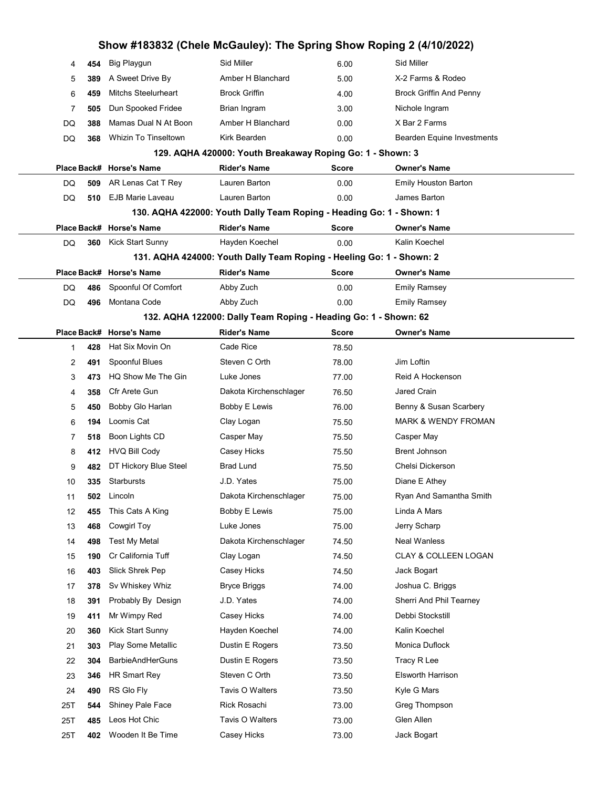|     | Show #183832 (Chele McGauley): The Spring Show Roping 2 (4/10/2022) |                                                           |                                                                      |              |                                |  |  |  |  |
|-----|---------------------------------------------------------------------|-----------------------------------------------------------|----------------------------------------------------------------------|--------------|--------------------------------|--|--|--|--|
| 4   | 454                                                                 | <b>Big Playgun</b>                                        | Sid Miller                                                           | 6.00         | Sid Miller                     |  |  |  |  |
| 5   | 389                                                                 | A Sweet Drive By                                          | Amber H Blanchard                                                    | 5.00         | X-2 Farms & Rodeo              |  |  |  |  |
| 6   | 459                                                                 | <b>Mitchs Steelurheart</b>                                | <b>Brock Griffin</b>                                                 | 4.00         | <b>Brock Griffin And Penny</b> |  |  |  |  |
| 7   | 505                                                                 | Dun Spooked Fridee                                        | Brian Ingram                                                         | 3.00         | Nichole Ingram                 |  |  |  |  |
| DQ  | 388                                                                 | Mamas Dual N At Boon                                      | Amber H Blanchard                                                    | 0.00         | X Bar 2 Farms                  |  |  |  |  |
| DQ  | 368                                                                 | <b>Whizin To Tinseltown</b>                               | Kirk Bearden                                                         | 0.00         | Bearden Equine Investments     |  |  |  |  |
|     |                                                                     | 129. AQHA 420000: Youth Breakaway Roping Go: 1 - Shown: 3 |                                                                      |              |                                |  |  |  |  |
|     |                                                                     | Place Back# Horse's Name                                  | Rider's Name                                                         | <b>Score</b> | <b>Owner's Name</b>            |  |  |  |  |
| DQ  | 509                                                                 | AR Lenas Cat T Rey                                        | Lauren Barton                                                        | 0.00         | <b>Emily Houston Barton</b>    |  |  |  |  |
| DQ  | 510                                                                 | EJB Marie Laveau                                          | Lauren Barton                                                        | 0.00         | James Barton                   |  |  |  |  |
|     |                                                                     |                                                           | 130. AQHA 422000: Youth Dally Team Roping - Heading Go: 1 - Shown: 1 |              |                                |  |  |  |  |
|     |                                                                     | Place Back# Horse's Name                                  | <b>Rider's Name</b>                                                  | <b>Score</b> | <b>Owner's Name</b>            |  |  |  |  |
| DQ  | 360                                                                 | Kick Start Sunny                                          | Hayden Koechel                                                       | 0.00         | Kalin Koechel                  |  |  |  |  |
|     |                                                                     |                                                           | 131. AQHA 424000: Youth Dally Team Roping - Heeling Go: 1 - Shown: 2 |              |                                |  |  |  |  |
|     |                                                                     | Place Back# Horse's Name                                  | <b>Rider's Name</b>                                                  | Score        | <b>Owner's Name</b>            |  |  |  |  |
| DQ  | 486                                                                 | Spoonful Of Comfort                                       | Abby Zuch                                                            | 0.00         | <b>Emily Ramsey</b>            |  |  |  |  |
| DQ  | 496                                                                 | Montana Code                                              | Abby Zuch                                                            | 0.00         | <b>Emily Ramsey</b>            |  |  |  |  |
|     |                                                                     |                                                           | 132. AQHA 122000: Dally Team Roping - Heading Go: 1 - Shown: 62      |              |                                |  |  |  |  |
|     |                                                                     | Place Back# Horse's Name                                  | <b>Rider's Name</b>                                                  | Score        | <b>Owner's Name</b>            |  |  |  |  |
| 1   | 428                                                                 | Hat Six Movin On                                          | Cade Rice                                                            | 78.50        |                                |  |  |  |  |
| 2   | 491                                                                 | Spoonful Blues                                            | Steven C Orth                                                        | 78.00        | Jim Loftin                     |  |  |  |  |
| 3   | 473                                                                 | HQ Show Me The Gin                                        | Luke Jones                                                           | 77.00        | Reid A Hockenson               |  |  |  |  |
| 4   | 358                                                                 | Cfr Arete Gun                                             | Dakota Kirchenschlager                                               | 76.50        | Jared Crain                    |  |  |  |  |
| 5   | 450                                                                 | Bobby Glo Harlan                                          | Bobby E Lewis                                                        | 76.00        | Benny & Susan Scarbery         |  |  |  |  |
| 6   | 194                                                                 | Loomis Cat                                                | Clay Logan                                                           | 75.50        | <b>MARK &amp; WENDY FROMAN</b> |  |  |  |  |
| 7   | 518                                                                 | Boon Lights CD                                            | Casper May                                                           | 75.50        | Casper May                     |  |  |  |  |
| 8   | 412                                                                 | HVQ Bill Cody                                             | Casey Hicks                                                          | 75.50        | <b>Brent Johnson</b>           |  |  |  |  |
| 9   | 482                                                                 | DT Hickory Blue Steel                                     | <b>Brad Lund</b>                                                     | 75.50        | Chelsi Dickerson               |  |  |  |  |
| 10  |                                                                     | 335 Starbursts                                            | J.D. Yates                                                           | 75.00        | Diane E Athey                  |  |  |  |  |
| 11  | 502                                                                 | Lincoln                                                   | Dakota Kirchenschlager                                               | 75.00        | Ryan And Samantha Smith        |  |  |  |  |
| 12  | 455                                                                 | This Cats A King                                          | Bobby E Lewis                                                        | 75.00        | Linda A Mars                   |  |  |  |  |
| 13  | 468                                                                 | Cowgirl Toy                                               | Luke Jones                                                           | 75.00        | Jerry Scharp                   |  |  |  |  |
| 14  | 498                                                                 | <b>Test My Metal</b>                                      | Dakota Kirchenschlager                                               | 74.50        | Neal Wanless                   |  |  |  |  |
| 15  | 190                                                                 | Cr California Tuff                                        | Clay Logan                                                           | 74.50        | CLAY & COLLEEN LOGAN           |  |  |  |  |
| 16  | 403                                                                 | Slick Shrek Pep                                           | Casey Hicks                                                          | 74.50        | Jack Bogart                    |  |  |  |  |
| 17  | 378                                                                 | Sv Whiskey Whiz                                           | <b>Bryce Briggs</b>                                                  | 74.00        | Joshua C. Briggs               |  |  |  |  |
| 18  | 391                                                                 | Probably By Design                                        | J.D. Yates                                                           | 74.00        | Sherri And Phil Tearney        |  |  |  |  |
| 19  | 411                                                                 | Mr Wimpy Red                                              | Casey Hicks                                                          | 74.00        | Debbi Stockstill               |  |  |  |  |
| 20  | 360                                                                 | Kick Start Sunny                                          | Hayden Koechel                                                       | 74.00        | Kalin Koechel                  |  |  |  |  |
| 21  | 303                                                                 | Play Some Metallic                                        | Dustin E Rogers                                                      | 73.50        | Monica Duflock                 |  |  |  |  |
| 22  | 304                                                                 | <b>BarbieAndHerGuns</b>                                   | Dustin E Rogers                                                      | 73.50        | Tracy R Lee                    |  |  |  |  |
| 23  | 346                                                                 | HR Smart Rey                                              | Steven C Orth                                                        | 73.50        | Elsworth Harrison              |  |  |  |  |
| 24  | 490                                                                 | RS Glo Fly                                                | Tavis O Walters                                                      | 73.50        | Kyle G Mars                    |  |  |  |  |
| 25T | 544                                                                 | <b>Shiney Pale Face</b>                                   | Rick Rosachi                                                         | 73.00        | Greg Thompson                  |  |  |  |  |
| 25T | 485                                                                 | Leos Hot Chic                                             | Tavis O Walters                                                      | 73.00        | Glen Allen                     |  |  |  |  |
| 25T | 402                                                                 | Wooden It Be Time                                         | Casey Hicks                                                          | 73.00        | Jack Bogart                    |  |  |  |  |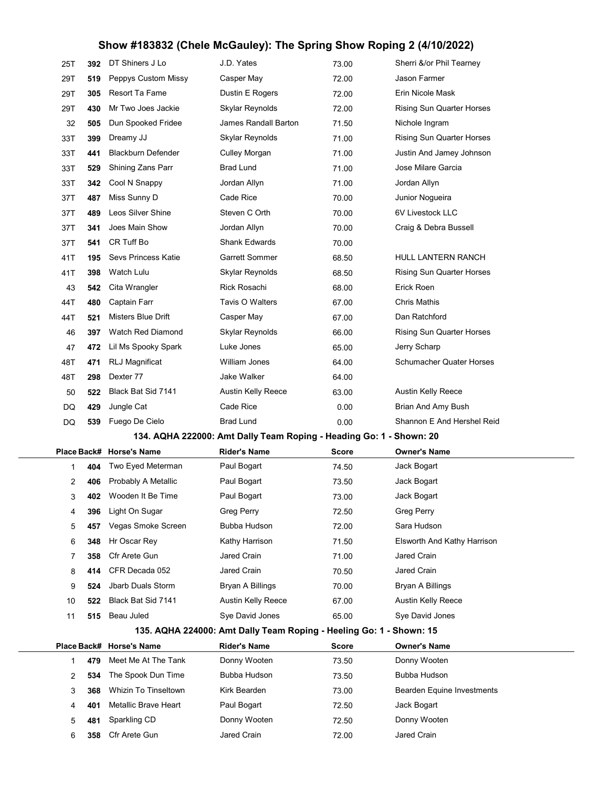| 25T                                                                 | 392 | DT Shiners J Lo           | J.D. Yates                                                          | 73.00        | Sherri &/or Phil Tearney         |  |
|---------------------------------------------------------------------|-----|---------------------------|---------------------------------------------------------------------|--------------|----------------------------------|--|
| 29T                                                                 | 519 | Peppys Custom Missy       | Casper May                                                          | 72.00        | Jason Farmer                     |  |
| 29T                                                                 | 305 | Resort Ta Fame            | Dustin E Rogers                                                     | 72.00        | Erin Nicole Mask                 |  |
| 29T                                                                 | 430 | Mr Two Joes Jackie        | Skylar Reynolds                                                     | 72.00        | <b>Rising Sun Quarter Horses</b> |  |
| 32                                                                  | 505 | Dun Spooked Fridee        | James Randall Barton                                                | 71.50        | Nichole Ingram                   |  |
| 33T                                                                 | 399 | Dreamy JJ                 | Skylar Reynolds                                                     | 71.00        | Rising Sun Quarter Horses        |  |
| 33T                                                                 | 441 | <b>Blackburn Defender</b> | Culley Morgan                                                       | 71.00        | Justin And Jamey Johnson         |  |
| 33T                                                                 | 529 | Shining Zans Parr         | <b>Brad Lund</b>                                                    | 71.00        | Jose Milare Garcia               |  |
| 33T                                                                 | 342 | Cool N Snappy             | Jordan Allyn                                                        | 71.00        | Jordan Allyn                     |  |
| 37T                                                                 | 487 | Miss Sunny D              | Cade Rice                                                           | 70.00        | Junior Nogueira                  |  |
| 37T                                                                 | 489 | Leos Silver Shine         | Steven C Orth                                                       | 70.00        | 6V Livestock LLC                 |  |
| 37T                                                                 | 341 | Joes Main Show            | Jordan Allyn                                                        | 70.00        | Craig & Debra Bussell            |  |
| 37T                                                                 | 541 | CR Tuff Bo                | <b>Shank Edwards</b>                                                | 70.00        |                                  |  |
| 41T                                                                 | 195 | Sevs Princess Katie       | Garrett Sommer                                                      | 68.50        | <b>HULL LANTERN RANCH</b>        |  |
| 41T                                                                 | 398 | Watch Lulu                | Skylar Reynolds                                                     | 68.50        | <b>Rising Sun Quarter Horses</b> |  |
| 43                                                                  | 542 | Cita Wrangler             | Rick Rosachi                                                        | 68.00        | Erick Roen                       |  |
| 44T                                                                 | 480 | Captain Farr              | Tavis O Walters                                                     | 67.00        | <b>Chris Mathis</b>              |  |
| 44T                                                                 | 521 | Misters Blue Drift        | Casper May                                                          | 67.00        | Dan Ratchford                    |  |
| 46                                                                  | 397 | Watch Red Diamond         | Skylar Reynolds                                                     | 66.00        | Rising Sun Quarter Horses        |  |
| 47                                                                  | 472 | Lil Ms Spooky Spark       | Luke Jones                                                          | 65.00        | Jerry Scharp                     |  |
| 48T                                                                 | 471 | RLJ Magnificat            | William Jones                                                       | 64.00        | <b>Schumacher Quater Horses</b>  |  |
| 48T                                                                 | 298 | Dexter 77                 | Jake Walker                                                         | 64.00        |                                  |  |
| 50                                                                  | 522 | Black Bat Sid 7141        | Austin Kelly Reece                                                  | 63.00        | Austin Kelly Reece               |  |
| DQ                                                                  | 429 | Jungle Cat                | Cade Rice                                                           | 0.00         | Brian And Amy Bush               |  |
| DQ                                                                  | 539 | Fuego De Cielo            | Brad Lund                                                           | 0.00         | Shannon E And Hershel Reid       |  |
| 134. AQHA 222000: Amt Dally Team Roping - Heading Go: 1 - Shown: 20 |     |                           |                                                                     |              |                                  |  |
| Place Back#                                                         |     | <b>Horse's Name</b>       | <b>Rider's Name</b>                                                 | <b>Score</b> | <b>Owner's Name</b>              |  |
| 1                                                                   | 404 | Two Eyed Meterman         | Paul Bogart                                                         | 74.50        | Jack Bogart                      |  |
| 2                                                                   | 406 | Probably A Metallic       | Paul Bogart                                                         | 73.50        | Jack Bogart                      |  |
| 3                                                                   | 402 | Wooden It Be Time         | Paul Bogart                                                         | 73.00        | Jack Bogart                      |  |
| 4                                                                   | 396 | Light On Sugar            | <b>Greg Perry</b>                                                   | 72.50        | Greg Perry                       |  |
| 5                                                                   | 457 | Vegas Smoke Screen        | Bubba Hudson                                                        | 72.00        | Sara Hudson                      |  |
| 6                                                                   | 348 | Hr Oscar Rey              | Kathy Harrison                                                      | 71.50        | Elsworth And Kathy Harrison      |  |
| 7                                                                   | 358 | Cfr Arete Gun             | Jared Crain                                                         | 71.00        | Jared Crain                      |  |
| 8                                                                   | 414 | CFR Decada 052            | Jared Crain                                                         | 70.50        | Jared Crain                      |  |
| 9                                                                   | 524 | Jbarb Duals Storm         | Bryan A Billings                                                    | 70.00        | Bryan A Billings                 |  |
| 10                                                                  | 522 | Black Bat Sid 7141        | <b>Austin Kelly Reece</b>                                           | 67.00        | Austin Kelly Reece               |  |
| 11                                                                  | 515 | Beau Juled                | Sye David Jones                                                     | 65.00        | Sye David Jones                  |  |
|                                                                     |     |                           | 135. AQHA 224000: Amt Dally Team Roping - Heeling Go: 1 - Shown: 15 |              |                                  |  |
|                                                                     |     | Place Back# Horse's Name  | <b>Rider's Name</b>                                                 | <b>Score</b> | Owner's Name                     |  |
| 1                                                                   | 479 | Meet Me At The Tank       | Donny Wooten                                                        | 73.50        | Donny Wooten                     |  |
| 2                                                                   | 534 | The Spook Dun Time        | Bubba Hudson                                                        | 73.50        | Bubba Hudson                     |  |
| 3                                                                   | 368 | Whizin To Tinseltown      | Kirk Bearden                                                        | 73.00        | Bearden Equine Investments       |  |
| 4                                                                   |     |                           |                                                                     |              |                                  |  |
|                                                                     | 401 | Metallic Brave Heart      | Paul Bogart                                                         | 72.50        | Jack Bogart                      |  |
| 5                                                                   | 481 | Sparkling CD              | Donny Wooten                                                        | 72.50        | Donny Wooten                     |  |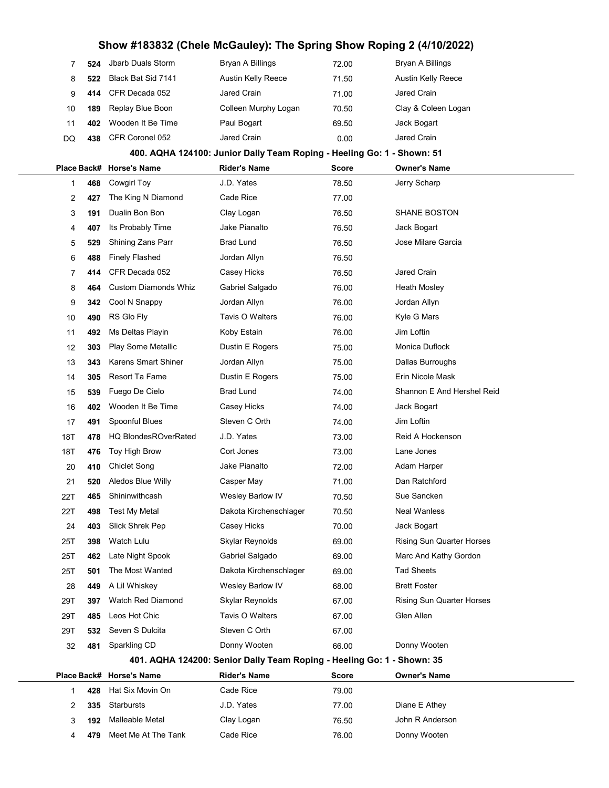| 7   | 524                                                                    | Jbarb Duals Storm           | Bryan A Billings                                                       | 72.00        | <b>Bryan A Billings</b>          |  |  |  |  |
|-----|------------------------------------------------------------------------|-----------------------------|------------------------------------------------------------------------|--------------|----------------------------------|--|--|--|--|
| 8   | 522                                                                    | Black Bat Sid 7141          | Austin Kelly Reece                                                     | 71.50        | Austin Kelly Reece               |  |  |  |  |
| 9   | 414                                                                    | CFR Decada 052              | Jared Crain                                                            | 71.00        | Jared Crain                      |  |  |  |  |
| 10  | 189                                                                    | Replay Blue Boon            | Colleen Murphy Logan                                                   | 70.50        | Clay & Coleen Logan              |  |  |  |  |
| 11  | 402                                                                    | Wooden It Be Time           | Paul Bogart                                                            | 69.50        | Jack Bogart                      |  |  |  |  |
| DQ  | 438                                                                    | CFR Coronel 052             | Jared Crain                                                            | 0.00         | Jared Crain                      |  |  |  |  |
|     |                                                                        |                             | 400. AQHA 124100: Junior Dally Team Roping - Heeling Go: 1 - Shown: 51 |              |                                  |  |  |  |  |
|     |                                                                        | Place Back# Horse's Name    | <b>Rider's Name</b>                                                    | <b>Score</b> | <b>Owner's Name</b>              |  |  |  |  |
| 1   | 468                                                                    | <b>Cowgirl Toy</b>          | J.D. Yates                                                             | 78.50        | Jerry Scharp                     |  |  |  |  |
| 2   | 427                                                                    | The King N Diamond          | Cade Rice                                                              | 77.00        |                                  |  |  |  |  |
| 3   | 191                                                                    | Dualin Bon Bon              | Clay Logan                                                             | 76.50        | <b>SHANE BOSTON</b>              |  |  |  |  |
| 4   | 407                                                                    | Its Probably Time           | Jake Pianalto                                                          | 76.50        | Jack Bogart                      |  |  |  |  |
| 5   | 529                                                                    | Shining Zans Parr           | <b>Brad Lund</b>                                                       | 76.50        | Jose Milare Garcia               |  |  |  |  |
| 6   | 488                                                                    | <b>Finely Flashed</b>       | Jordan Allyn                                                           | 76.50        |                                  |  |  |  |  |
| 7   | 414                                                                    | CFR Decada 052              | Casey Hicks                                                            | 76.50        | Jared Crain                      |  |  |  |  |
| 8   | 464                                                                    | <b>Custom Diamonds Whiz</b> | Gabriel Salgado                                                        | 76.00        | <b>Heath Mosley</b>              |  |  |  |  |
| 9   | 342                                                                    | Cool N Snappy               | Jordan Allyn                                                           | 76.00        | Jordan Allyn                     |  |  |  |  |
| 10  | 490                                                                    | RS Glo Fly                  | Tavis O Walters                                                        | 76.00        | Kyle G Mars                      |  |  |  |  |
| 11  | 492                                                                    | Ms Deltas Playin            | Koby Estain                                                            | 76.00        | Jim Loftin                       |  |  |  |  |
| 12  | 303                                                                    | <b>Play Some Metallic</b>   | Dustin E Rogers                                                        | 75.00        | Monica Duflock                   |  |  |  |  |
| 13  | 343                                                                    | <b>Karens Smart Shiner</b>  | Jordan Allyn                                                           | 75.00        | Dallas Burroughs                 |  |  |  |  |
| 14  | 305                                                                    | Resort Ta Fame              | Dustin E Rogers                                                        | 75.00        | Erin Nicole Mask                 |  |  |  |  |
| 15  | 539                                                                    | Fuego De Cielo              | Brad Lund                                                              | 74.00        | Shannon E And Hershel Reid       |  |  |  |  |
| 16  | 402                                                                    | Wooden It Be Time           | Casey Hicks                                                            | 74.00        | Jack Bogart                      |  |  |  |  |
| 17  | 491                                                                    | Spoonful Blues              | Steven C Orth                                                          | 74.00        | Jim Loftin                       |  |  |  |  |
| 18T | 478                                                                    | <b>HQ BlondesROverRated</b> | J.D. Yates                                                             | 73.00        | Reid A Hockenson                 |  |  |  |  |
| 18T | 476                                                                    | Toy High Brow               | Cort Jones                                                             | 73.00        | Lane Jones                       |  |  |  |  |
| 20  | 410                                                                    | <b>Chiclet Song</b>         | Jake Pianalto                                                          | 72.00        | Adam Harper                      |  |  |  |  |
| 21  | 520                                                                    | Aledos Blue Willy           | Casper May                                                             | 71.00        | Dan Ratchford                    |  |  |  |  |
| 22T | 465                                                                    | Shininwithcash              | Wesley Barlow IV                                                       | 70.50        | Sue Sancken                      |  |  |  |  |
| 22T | 498                                                                    | <b>Test My Metal</b>        | Dakota Kirchenschlager                                                 | 70.50        | <b>Neal Wanless</b>              |  |  |  |  |
| 24  | 403                                                                    | Slick Shrek Pep             | Casey Hicks                                                            | 70.00        | Jack Bogart                      |  |  |  |  |
| 25T | 398                                                                    | Watch Lulu                  | Skylar Reynolds                                                        | 69.00        | <b>Rising Sun Quarter Horses</b> |  |  |  |  |
| 25T | 462                                                                    | Late Night Spook            | Gabriel Salgado                                                        | 69.00        | Marc And Kathy Gordon            |  |  |  |  |
| 25T | 501                                                                    | The Most Wanted             | Dakota Kirchenschlager                                                 | 69.00        | <b>Tad Sheets</b>                |  |  |  |  |
| 28  | 449                                                                    | A Lil Whiskey               | Wesley Barlow IV                                                       | 68.00        | <b>Brett Foster</b>              |  |  |  |  |
| 29T | 397                                                                    | Watch Red Diamond           | Skylar Reynolds                                                        | 67.00        | Rising Sun Quarter Horses        |  |  |  |  |
| 29T | 485                                                                    | Leos Hot Chic               | Tavis O Walters                                                        | 67.00        | Glen Allen                       |  |  |  |  |
| 29T | 532                                                                    | Seven S Dulcita             | Steven C Orth                                                          | 67.00        |                                  |  |  |  |  |
| 32  | 481                                                                    | Sparkling CD                | Donny Wooten                                                           | 66.00        | Donny Wooten                     |  |  |  |  |
|     | 401. AQHA 124200: Senior Dally Team Roping - Heeling Go: 1 - Shown: 35 |                             |                                                                        |              |                                  |  |  |  |  |
|     |                                                                        | Place Back# Horse's Name    | <b>Rider's Name</b>                                                    | <b>Score</b> | <b>Owner's Name</b>              |  |  |  |  |
| 1   | 428                                                                    | Hat Six Movin On            | Cade Rice                                                              | 79.00        |                                  |  |  |  |  |
| 2   | 335                                                                    | Starbursts                  | J.D. Yates                                                             | 77.00        | Diane E Athey                    |  |  |  |  |
| 3   | 192                                                                    | Malleable Metal             | Clay Logan                                                             | 76.50        | John R Anderson                  |  |  |  |  |
| 4   | 479                                                                    | Meet Me At The Tank         | Cade Rice                                                              | 76.00        | Donny Wooten                     |  |  |  |  |